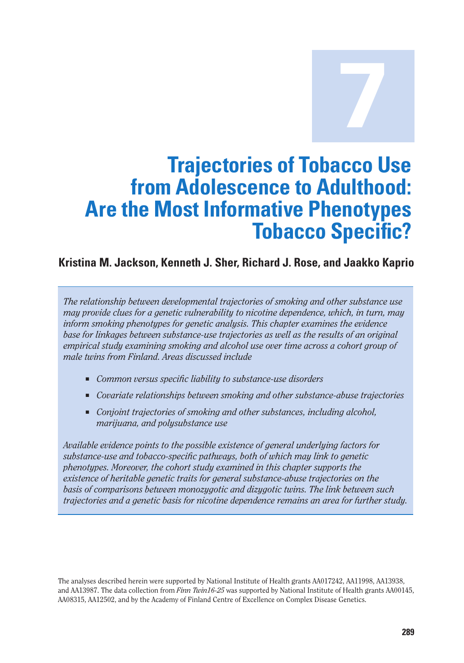**7 Trajectories of Tobacco Use from Adolescence to Adulthood: Are the Most Informative Phenotypes Tobacco Specific?** 

### **Kristina M. Jackson, Kenneth J. Sher, Richard J. Rose, and Jaakko Kaprio**

*The relationship between developmental trajectories of smoking and other substance use may provide clues for a genetic vulnerability to nicotine dependence, which, in turn, may inform smoking phenotypes for genetic analysis. This chapter examines the evidence base for linkages between substance-use trajectories as well as the results of an original empirical study examining smoking and alcohol use over time across a cohort group of male twins from Finland. Areas discussed include* 

- *Common versus specific liability to substance-use disorders*
- *Covariate relationships between smoking and other substance-abuse trajectories*
- *Conjoint trajectories of smoking and other substances, including alcohol, marijuana, and polysubstance use*

*Available evidence points to the possible existence of general underlying factors for substance-use and tobacco-specific pathways, both of which may link to genetic phenotypes. Moreover, the cohort study examined in this chapter supports the existence of heritable genetic traits for general substance-abuse trajectories on the basis of comparisons between monozygotic and dizygotic twins. The link between such trajectories and a genetic basis for nicotine dependence remains an area for further study.* 

The analyses described herein were supported by National Institute of Health grants AA017242, AA11998, AA13938, and AA13987. The data collection from *Finn Twin16-25* was supported by National Institute of Health grants AA00145, AA08315, AA12502, and by the Academy of Finland Centre of Excellence on Complex Disease Genetics.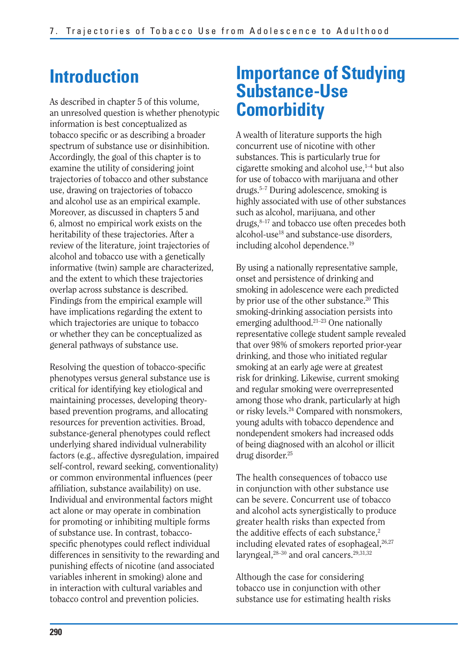## **Introduction**

As described in chapter 5 of this volume, an unresolved question is whether phenotypic information is best conceptualized as tobacco specific or as describing a broader spectrum of substance use or disinhibition. Accordingly, the goal of this chapter is to examine the utility of considering joint trajectories of tobacco and other substance use, drawing on trajectories of tobacco and alcohol use as an empirical example. Moreover, as discussed in chapters 5 and 6, almost no empirical work exists on the heritability of these trajectories. After a review of the literature, joint trajectories of alcohol and tobacco use with a genetically informative (twin) sample are characterized, and the extent to which these trajectories overlap across substance is described. Findings from the empirical example will have implications regarding the extent to which trajectories are unique to tobacco or whether they can be conceptualized as general pathways of substance use.

Resolving the question of tobacco-specific phenotypes versus general substance use is critical for identifying key etiological and maintaining processes, developing theorybased prevention programs, and allocating resources for prevention activities. Broad, substance-general phenotypes could reflect underlying shared individual vulnerability factors (e.g., affective dysregulation, impaired self-control, reward seeking, conventionality) or common environmental influences (peer affiliation, substance availability) on use. Individual and environmental factors might act alone or may operate in combination for promoting or inhibiting multiple forms of substance use. In contrast, tobaccospecific phenotypes could reflect individual differences in sensitivity to the rewarding and punishing effects of nicotine (and associated variables inherent in smoking) alone and in interaction with cultural variables and tobacco control and prevention policies.

## **Importance of Studying Substance-Use Comorbidity**

A wealth of literature supports the high concurrent use of nicotine with other substances. This is particularly true for cigarette smoking and alcohol use, $1-4$  but also for use of tobacco with marijuana and other drugs.5–7 During adolescence, smoking is highly associated with use of other substances such as alcohol, marijuana, and other drugs, $8-17$  and tobacco use often precedes both alcohol-use<sup>18</sup> and substance-use disorders, including alcohol dependence.19

By using a nationally representative sample, onset and persistence of drinking and smoking in adolescence were each predicted by prior use of the other substance.<sup>20</sup> This smoking-drinking association persists into emerging adulthood.21–23 One nationally representative college student sample revealed that over 98% of smokers reported prior-year drinking, and those who initiated regular smoking at an early age were at greatest risk for drinking. Likewise, current smoking and regular smoking were overrepresented among those who drank, particularly at high or risky levels.24 Compared with nonsmokers, young adults with tobacco dependence and nondependent smokers had increased odds of being diagnosed with an alcohol or illicit drug disorder.25

The health consequences of tobacco use in conjunction with other substance use can be severe. Concurrent use of tobacco and alcohol acts synergistically to produce greater health risks than expected from the additive effects of each substance.<sup>2</sup> including elevated rates of esophageal, $26,27$ laryngeal,<sup>28-30</sup> and oral cancers.<sup>29,31,32</sup>

Although the case for considering tobacco use in conjunction with other substance use for estimating health risks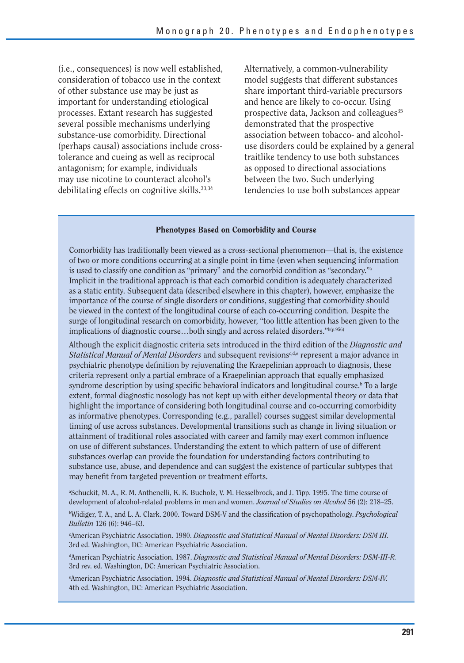(i.e., consequences) is now well established, consideration of tobacco use in the context of other substance use may be just as important for understanding etiological processes. Extant research has suggested several possible mechanisms underlying substance-use comorbidity. Directional (perhaps causal) associations include crosstolerance and cueing as well as reciprocal antagonism; for example, individuals may use nicotine to counteract alcohol's debilitating effects on cognitive skills.33,34

Alternatively, a common-vulnerability model suggests that different substances share important third-variable precursors and hence are likely to co-occur. Using prospective data, Jackson and colleagues<sup>35</sup> demonstrated that the prospective association between tobacco- and alcoholuse disorders could be explained by a general traitlike tendency to use both substances as opposed to directional associations between the two. Such underlying tendencies to use both substances appear

#### **Phenotypes Based on Comorbidity and Course**

Comorbidity has traditionally been viewed as a cross-sectional phenomenon—that is, the existence of two or more conditions occurring at a single point in time (even when sequencing information is used to classify one condition as "primary" and the comorbid condition as "secondary."a Implicit in the traditional approach is that each comorbid condition is adequately characterized as a static entity. Subsequent data (described elsewhere in this chapter), however, emphasize the importance of the course of single disorders or conditions, suggesting that comorbidity should be viewed in the context of the longitudinal course of each co-occurring condition. Despite the surge of longitudinal research on comorbidity, however, "too little attention has been given to the implications of diagnostic course...both singly and across related disorders."b(p.956)

Although the explicit diagnostic criteria sets introduced in the third edition of the *Diagnostic and Statistical Manual of Mental Disorders* and subsequent revisions<sup>c,d,e</sup> represent a major advance in psychiatric phenotype definition by rejuvenating the Kraepelinian approach to diagnosis, these criteria represent only a partial embrace of a Kraepelinian approach that equally emphasized syndrome description by using specific behavioral indicators and longitudinal course.<sup>b</sup> To a large extent, formal diagnostic nosology has not kept up with either developmental theory or data that highlight the importance of considering both longitudinal course and co-occurring comorbidity as informative phenotypes. Corresponding (e.g., parallel) courses suggest similar developmental timing of use across substances. Developmental transitions such as change in living situation or attainment of traditional roles associated with career and family may exert common influence on use of different substances. Understanding the extent to which pattern of use of different substances overlap can provide the foundation for understanding factors contributing to substance use, abuse, and dependence and can suggest the existence of particular subtypes that may benefit from targeted prevention or treatment efforts.

a Schuckit, M. A., R. M. Anthenelli, K. K. Bucholz, V. M. Hesselbrock, and J. Tipp. 1995. The time course of development of alcohol-related problems in men and women. *Journal of Studies on Alcohol* 56 (2): 218–25. b Widiger, T. A., and L. A. Clark. 2000. Toward DSM-V and the classification of psychopathology. *Psychological Bulletin* 126 (6): 946–63.

c American Psychiatric Association. 1980. *Diagnostic and Statistical Manual of Mental Disorders: DSM III.*  3rd ed. Washington, DC: American Psychiatric Association.

d American Psychiatric Association. 1987. *Diagnostic and Statistical Manual of Mental Disorders: DSM-III-R.* 3rd rev. ed. Washington, DC: American Psychiatric Association.

e American Psychiatric Association. 1994. *Diagnostic and Statistical Manual of Mental Disorders: DSM-IV.* 4th ed. Washington, DC: American Psychiatric Association.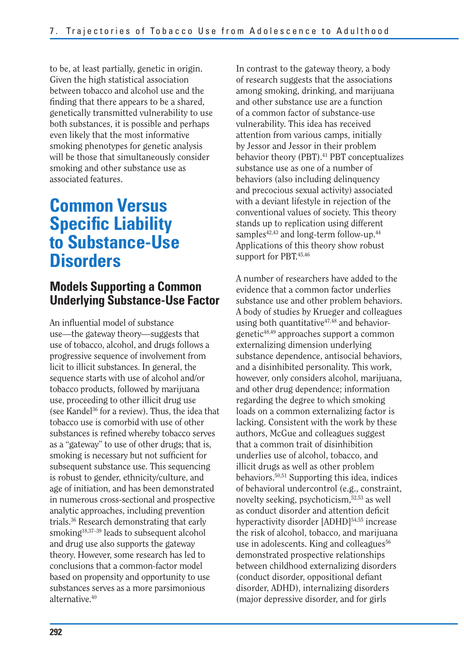to be, at least partially, genetic in origin. Given the high statistical association between tobacco and alcohol use and the finding that there appears to be a shared, genetically transmitted vulnerability to use both substances, it is possible and perhaps even likely that the most informative smoking phenotypes for genetic analysis will be those that simultaneously consider smoking and other substance use as associated features.

## **Specific Liability Common Versus to Substance-Use Disorders**

### **Models Supporting a Common Underlying Substance-Use Factor**

An influential model of substance use—the gateway theory—suggests that use of tobacco, alcohol, and drugs follows a progressive sequence of involvement from licit to illicit substances. In general, the sequence starts with use of alcohol and/or tobacco products, followed by marijuana use, proceeding to other illicit drug use (see Kandel<sup>36</sup> for a review). Thus, the idea that tobacco use is comorbid with use of other substances is refined whereby tobacco serves as a "gateway" to use of other drugs; that is, smoking is necessary but not sufficient for subsequent substance use. This sequencing is robust to gender, ethnicity/culture, and age of initiation, and has been demonstrated in numerous cross-sectional and prospective analytic approaches, including prevention trials.36 Research demonstrating that early smoking<sup>18,37-39</sup> leads to subsequent alcohol and drug use also supports the gateway theory. However, some research has led to conclusions that a common-factor model based on propensity and opportunity to use substances serves as a more parsimonious alternative.40

In contrast to the gateway theory, a body of research suggests that the associations among smoking, drinking, and marijuana and other substance use are a function of a common factor of substance-use vulnerability. This idea has received attention from various camps, initially by Jessor and Jessor in their problem behavior theory (PBT).<sup>41</sup> PBT conceptualizes substance use as one of a number of behaviors (also including delinquency and precocious sexual activity) associated with a deviant lifestyle in rejection of the conventional values of society. This theory stands up to replication using different samples $42,43$  and long-term follow-up. $44$ Applications of this theory show robust support for PBT.<sup>45,46</sup>

A number of researchers have added to the evidence that a common factor underlies substance use and other problem behaviors. A body of studies by Krueger and colleagues using both quantitative $47,48$  and behaviorgenetic48,49 approaches support a common externalizing dimension underlying substance dependence, antisocial behaviors, and a disinhibited personality. This work, however, only considers alcohol, marijuana, and other drug dependence; information regarding the degree to which smoking loads on a common externalizing factor is lacking. Consistent with the work by these authors, McGue and colleagues suggest that a common trait of disinhibition underlies use of alcohol, tobacco, and illicit drugs as well as other problem behaviors.50,51 Supporting this idea, indices of behavioral undercontrol (e.g., constraint, novelty seeking, psychoticism,52,53 as well as conduct disorder and attention deficit hyperactivity disorder [ADHD]<sup>54,55</sup> increase the risk of alcohol, tobacco, and marijuana use in adolescents. King and colleagues<sup>56</sup> demonstrated prospective relationships between childhood externalizing disorders (conduct disorder, oppositional defiant disorder, ADHD), internalizing disorders (major depressive disorder, and for girls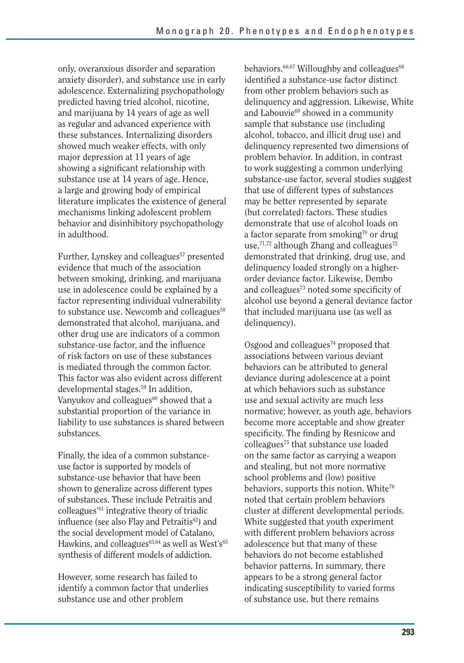only, overanxious disorder and separation anxiety disorder), and substance use in early adolescence. Externalizing psychopathology predicted having tried alcohol, nicotine, and marijuana by 14 years of age as well as regular and advanced experience with these substances. Internalizing disorders showed much weaker effects, with only major depression at 11 years of age showing a significant relationship with substance use at 14 years of age. Hence, a large and growing body of empirical literature implicates the existence of general mechanisms linking adolescent problem behavior and disinhibitory psychopathology in adulthood.

Further, Lynskey and colleagues<sup>57</sup> presented evidence that much of the association between smoking, drinking, and marijuana use in adolescence could be explained by a factor representing individual vulnerability to substance use. Newcomb and colleagues<sup>58</sup> demonstrated that alcohol, marijuana, and other drug use are indicators of a common substance-use factor, and the influence of risk factors on use of these substances is mediated through the common factor. This factor was also evident across different developmental stages.59 In addition, Vanyukov and colleagues<sup>60</sup> showed that a substantial proportion of the variance in liability to use substances is shared between substances.

Finally, the idea of a common substanceuse factor is supported by models of substance-use behavior that have been shown to generalize across different types of substances. These include Petraitis and colleagues'61 integrative theory of triadic influence (see also Flay and Petraitis<sup>62</sup>) and the social development model of Catalano, Hawkins, and colleagues $63,64$  as well as West's $65$ synthesis of different models of addiction.

However, some research has failed to identify a common factor that underlies substance use and other problem

behaviors.<sup>66,67</sup> Willoughby and colleagues<sup>68</sup> identified a substance-use factor distinct from other problem behaviors such as delinquency and aggression. Likewise, White and Labouvie<sup>69</sup> showed in a community sample that substance use (including alcohol, tobacco, and illicit drug use) and delinquency represented two dimensions of problem behavior. In addition, in contrast to work suggesting a common underlying substance-use factor, several studies suggest that use of different types of substances may be better represented by separate (but correlated) factors. These studies demonstrate that use of alcohol loads on a factor separate from smoking $70$  or drug use, $71,72$  although Zhang and colleagues $72$ demonstrated that drinking, drug use, and delinquency loaded strongly on a higherorder deviance factor. Likewise, Dembo and colleagues $73$  noted some specificity of alcohol use beyond a general deviance factor that included marijuana use (as well as delinquency).

 specificity. The finding by Resnicow and Osgood and colleagues $74$  proposed that associations between various deviant behaviors can be attributed to general deviance during adolescence at a point at which behaviors such as substance use and sexual activity are much less normative; however, as youth age, behaviors become more acceptable and show greater colleagues75 that substance use loaded on the same factor as carrying a weapon and stealing, but not more normative school problems and (low) positive behaviors, supports this notion. White<sup>76</sup> noted that certain problem behaviors cluster at different developmental periods. White suggested that youth experiment with different problem behaviors across adolescence but that many of these behaviors do not become established behavior patterns. In summary, there appears to be a strong general factor indicating susceptibility to varied forms of substance use, but there remains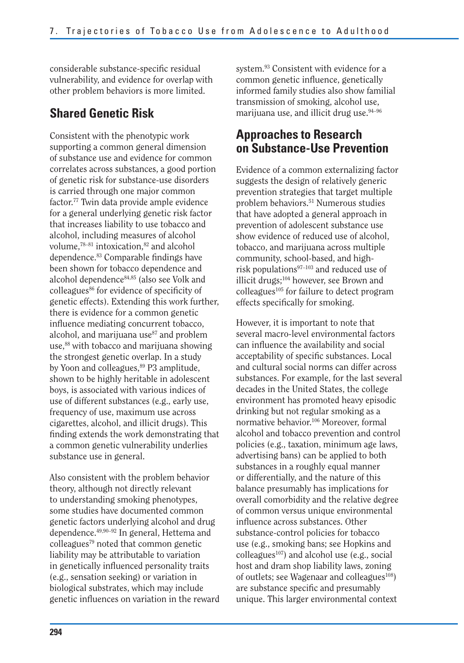considerable substance-specific residual vulnerability, and evidence for overlap with other problem behaviors is more limited.

## **Shared Genetic Risk**

Consistent with the phenotypic work supporting a common general dimension of substance use and evidence for common correlates across substances, a good portion of genetic risk for substance-use disorders is carried through one major common factor.77 Twin data provide ample evidence for a general underlying genetic risk factor that increases liability to use tobacco and alcohol, including measures of alcohol volume,<sup>78-81</sup> intoxication,<sup>82</sup> and alcohol dependence.<sup>83</sup> Comparable findings have been shown for tobacco dependence and alcohol dependence84,85 (also see Volk and colleagues<sup>86</sup> for evidence of specificity of genetic effects). Extending this work further, there is evidence for a common genetic influence mediating concurrent tobacco, alcohol, and marijuana use<sup>87</sup> and problem use,<sup>88</sup> with tobacco and marijuana showing the strongest genetic overlap. In a study by Yoon and colleagues,<sup>89</sup> P3 amplitude, shown to be highly heritable in adolescent boys, is associated with various indices of use of different substances (e.g., early use, frequency of use, maximum use across cigarettes, alcohol, and illicit drugs). This finding extends the work demonstrating that a common genetic vulnerability underlies substance use in general.

Also consistent with the problem behavior theory, although not directly relevant to understanding smoking phenotypes, some studies have documented common genetic factors underlying alcohol and drug dependence.49,90–92 In general, Hettema and colleagues79 noted that common genetic liability may be attributable to variation in genetically influenced personality traits (e.g., sensation seeking) or variation in biological substrates, which may include genetic influences on variation in the reward system.<sup>93</sup> Consistent with evidence for a common genetic influence, genetically informed family studies also show familial transmission of smoking, alcohol use, marijuana use, and illicit drug use.<sup>94-96</sup>

## **Approaches to Research on Substance-Use Prevention**

Evidence of a common externalizing factor suggests the design of relatively generic prevention strategies that target multiple problem behaviors.51 Numerous studies that have adopted a general approach in prevention of adolescent substance use show evidence of reduced use of alcohol, tobacco, and marijuana across multiple community, school-based, and highrisk populations97–103 and reduced use of illicit drugs;<sup>104</sup> however, see Brown and colleagues<sup>105</sup> for failure to detect program effects specifically for smoking.

However, it is important to note that several macro-level environmental factors can influence the availability and social acceptability of specific substances. Local and cultural social norms can differ across substances. For example, for the last several decades in the United States, the college environment has promoted heavy episodic drinking but not regular smoking as a normative behavior.106 Moreover, formal alcohol and tobacco prevention and control policies (e.g., taxation, minimum age laws, advertising bans) can be applied to both substances in a roughly equal manner or differentially, and the nature of this balance presumably has implications for overall comorbidity and the relative degree of common versus unique environmental influence across substances. Other substance-control policies for tobacco use (e.g., smoking bans; see Hopkins and colleagues<sup>107</sup>) and alcohol use (e.g., social host and dram shop liability laws, zoning of outlets; see Wagenaar and colleagues $^{108}$ ) are substance specific and presumably unique. This larger environmental context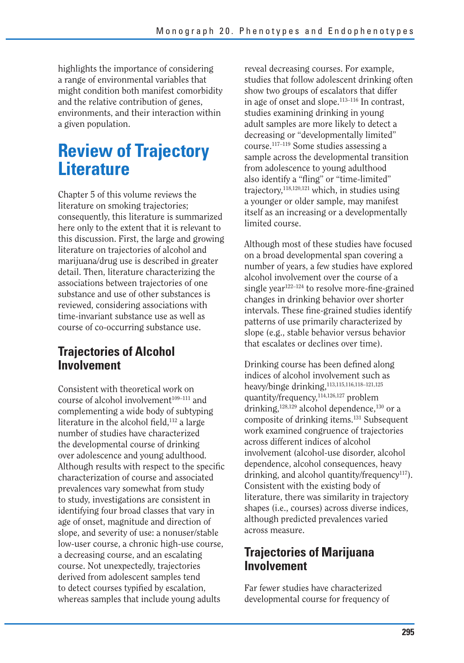highlights the importance of considering a range of environmental variables that might condition both manifest comorbidity and the relative contribution of genes, environments, and their interaction within a given population.

## **Review of Trajectory Literature**

Chapter 5 of this volume reviews the literature on smoking trajectories; consequently, this literature is summarized here only to the extent that it is relevant to this discussion. First, the large and growing literature on trajectories of alcohol and marijuana/drug use is described in greater detail. Then, literature characterizing the associations between trajectories of one substance and use of other substances is reviewed, considering associations with time-invariant substance use as well as course of co-occurring substance use.

## **Trajectories of Alcohol Involvement**

Consistent with theoretical work on course of alcohol involvement<sup>109-111</sup> and complementing a wide body of subtyping literature in the alcohol field,  $112$  a large number of studies have characterized the developmental course of drinking over adolescence and young adulthood. Although results with respect to the specific characterization of course and associated prevalences vary somewhat from study to study, investigations are consistent in identifying four broad classes that vary in age of onset, magnitude and direction of slope, and severity of use: a nonuser/stable low-user course, a chronic high-use course, a decreasing course, and an escalating course. Not unexpectedly, trajectories derived from adolescent samples tend to detect courses typified by escalation, whereas samples that include young adults

reveal decreasing courses. For example, studies that follow adolescent drinking often show two groups of escalators that differ in age of onset and slope.113–116 In contrast, studies examining drinking in young adult samples are more likely to detect a decreasing or "developmentally limited" course.117–119 Some studies assessing a sample across the developmental transition from adolescence to young adulthood also identify a "fling" or "time-limited" trajectory,  $118,120,121$  which, in studies using a younger or older sample, may manifest itself as an increasing or a developmentally limited course.

Although most of these studies have focused on a broad developmental span covering a number of years, a few studies have explored alcohol involvement over the course of a single year<sup>122–124</sup> to resolve more-fine-grained changes in drinking behavior over shorter intervals. These fine-grained studies identify patterns of use primarily characterized by slope (e.g., stable behavior versus behavior that escalates or declines over time).

Drinking course has been defined along indices of alcohol involvement such as heavy/binge drinking,113,115,116,118–121,125 quantity/frequency,114,126,127 problem drinking, $128,129$  alcohol dependence, $130$  or a composite of drinking items.131 Subsequent work examined congruence of trajectories across different indices of alcohol involvement (alcohol-use disorder, alcohol dependence, alcohol consequences, heavy drinking, and alcohol quantity/frequency<sup>117</sup>). Consistent with the existing body of literature, there was similarity in trajectory shapes (i.e., courses) across diverse indices, although predicted prevalences varied across measure.

## **Trajectories of Marijuana Involvement**

Far fewer studies have characterized developmental course for frequency of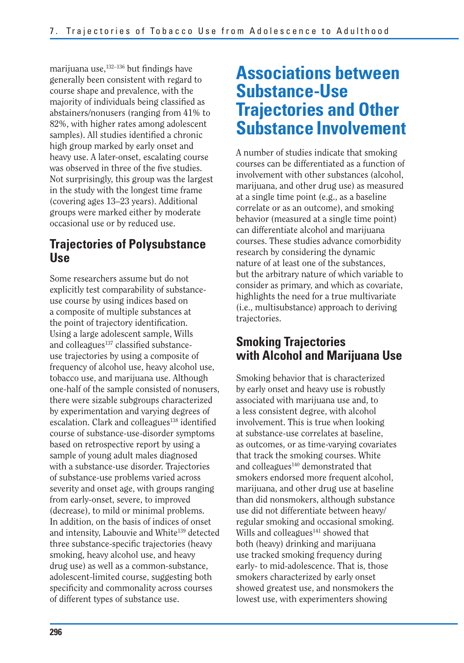marijuana use, $132-136$  but findings have generally been consistent with regard to course shape and prevalence, with the majority of individuals being classified as abstainers/nonusers (ranging from 41% to 82%, with higher rates among adolescent samples). All studies identified a chronic high group marked by early onset and heavy use. A later-onset, escalating course was observed in three of the five studies. Not surprisingly, this group was the largest in the study with the longest time frame (covering ages 13–23 years). Additional groups were marked either by moderate occasional use or by reduced use.

### **Trajectories of Polysubstance Use**

Some researchers assume but do not explicitly test comparability of substanceuse course by using indices based on a composite of multiple substances at the point of trajectory identification. Using a large adolescent sample, Wills and colleagues<sup>137</sup> classified substanceuse trajectories by using a composite of frequency of alcohol use, heavy alcohol use, tobacco use, and marijuana use. Although one-half of the sample consisted of nonusers, there were sizable subgroups characterized by experimentation and varying degrees of escalation. Clark and colleagues $138$  identified course of substance-use-disorder symptoms based on retrospective report by using a sample of young adult males diagnosed with a substance-use disorder. Trajectories of substance-use problems varied across severity and onset age, with groups ranging from early-onset, severe, to improved (decrease), to mild or minimal problems. In addition, on the basis of indices of onset and intensity, Labouvie and White<sup>139</sup> detected three substance-specific trajectories (heavy smoking, heavy alcohol use, and heavy drug use) as well as a common-substance, adolescent-limited course, suggesting both specificity and commonality across courses of different types of substance use.

## **Associations between Substance-Use Trajectories and Other Substance Involvement**

A number of studies indicate that smoking courses can be differentiated as a function of involvement with other substances (alcohol, marijuana, and other drug use) as measured at a single time point (e.g., as a baseline correlate or as an outcome), and smoking behavior (measured at a single time point) can differentiate alcohol and marijuana courses. These studies advance comorbidity research by considering the dynamic nature of at least one of the substances, but the arbitrary nature of which variable to consider as primary, and which as covariate, highlights the need for a true multivariate (i.e., multisubstance) approach to deriving trajectories.

## **Smoking Trajectories with Alcohol and Marijuana Use**

Smoking behavior that is characterized by early onset and heavy use is robustly associated with marijuana use and, to a less consistent degree, with alcohol involvement. This is true when looking at substance-use correlates at baseline, as outcomes, or as time-varying covariates that track the smoking courses. White and colleagues<sup>140</sup> demonstrated that smokers endorsed more frequent alcohol, marijuana, and other drug use at baseline than did nonsmokers, although substance use did not differentiate between heavy/ regular smoking and occasional smoking. Wills and colleagues<sup>141</sup> showed that both (heavy) drinking and marijuana use tracked smoking frequency during early- to mid-adolescence. That is, those smokers characterized by early onset showed greatest use, and nonsmokers the lowest use, with experimenters showing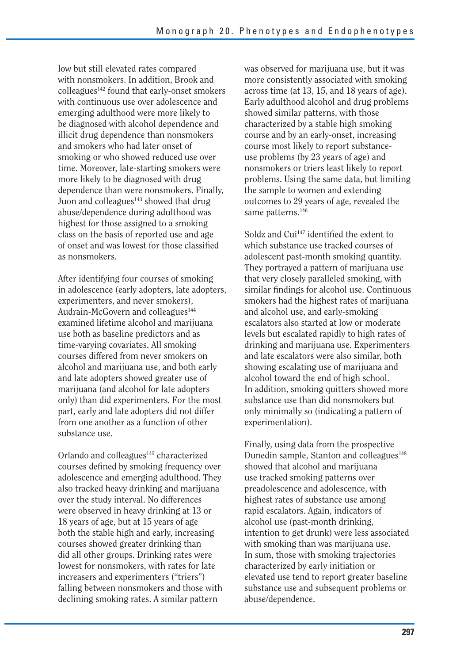low but still elevated rates compared with nonsmokers. In addition, Brook and colleagues<sup>142</sup> found that early-onset smokers with continuous use over adolescence and emerging adulthood were more likely to be diagnosed with alcohol dependence and illicit drug dependence than nonsmokers and smokers who had later onset of smoking or who showed reduced use over time. Moreover, late-starting smokers were more likely to be diagnosed with drug dependence than were nonsmokers. Finally, Juon and colleagues<sup>143</sup> showed that drug abuse/dependence during adulthood was highest for those assigned to a smoking class on the basis of reported use and age of onset and was lowest for those classified as nonsmokers.

After identifying four courses of smoking in adolescence (early adopters, late adopters, experimenters, and never smokers), Audrain-McGovern and colleagues<sup>144</sup> examined lifetime alcohol and marijuana use both as baseline predictors and as time-varying covariates. All smoking courses differed from never smokers on alcohol and marijuana use, and both early and late adopters showed greater use of marijuana (and alcohol for late adopters only) than did experimenters. For the most part, early and late adopters did not differ from one another as a function of other substance use.

Orlando and colleagues<sup>145</sup> characterized courses defined by smoking frequency over adolescence and emerging adulthood. They also tracked heavy drinking and marijuana over the study interval. No differences were observed in heavy drinking at 13 or 18 years of age, but at 15 years of age both the stable high and early, increasing courses showed greater drinking than did all other groups. Drinking rates were lowest for nonsmokers, with rates for late increasers and experimenters ("triers") falling between nonsmokers and those with declining smoking rates. A similar pattern

was observed for marijuana use, but it was more consistently associated with smoking across time (at 13, 15, and 18 years of age). Early adulthood alcohol and drug problems showed similar patterns, with those characterized by a stable high smoking course and by an early-onset, increasing course most likely to report substanceuse problems (by 23 years of age) and nonsmokers or triers least likely to report problems. Using the same data, but limiting the sample to women and extending outcomes to 29 years of age, revealed the same patterns.<sup>146</sup>

Soldz and Cui<sup>147</sup> identified the extent to which substance use tracked courses of adolescent past-month smoking quantity. They portrayed a pattern of marijuana use that very closely paralleled smoking, with similar findings for alcohol use. Continuous smokers had the highest rates of marijuana and alcohol use, and early-smoking escalators also started at low or moderate levels but escalated rapidly to high rates of drinking and marijuana use. Experimenters and late escalators were also similar, both showing escalating use of marijuana and alcohol toward the end of high school. In addition, smoking quitters showed more substance use than did nonsmokers but only minimally so (indicating a pattern of experimentation).

Finally, using data from the prospective Dunedin sample, Stanton and colleagues<sup>148</sup> showed that alcohol and marijuana use tracked smoking patterns over preadolescence and adolescence, with highest rates of substance use among rapid escalators. Again, indicators of alcohol use (past-month drinking, intention to get drunk) were less associated with smoking than was marijuana use. In sum, those with smoking trajectories characterized by early initiation or elevated use tend to report greater baseline substance use and subsequent problems or abuse/dependence.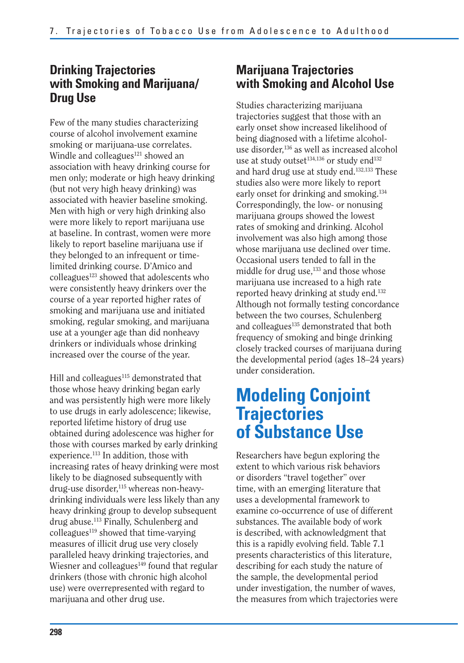## **Drinking Trajectories with Smoking and Marijuana/ Drug Use**

Few of the many studies characterizing course of alcohol involvement examine smoking or marijuana-use correlates. Windle and colleagues $121$  showed an association with heavy drinking course for men only; moderate or high heavy drinking (but not very high heavy drinking) was associated with heavier baseline smoking. Men with high or very high drinking also were more likely to report marijuana use at baseline. In contrast, women were more likely to report baseline marijuana use if they belonged to an infrequent or timelimited drinking course. D'Amico and  $\text{colle}$ agues<sup>123</sup> showed that adolescents who were consistently heavy drinkers over the course of a year reported higher rates of smoking and marijuana use and initiated smoking, regular smoking, and marijuana use at a younger age than did nonheavy drinkers or individuals whose drinking increased over the course of the year.

Hill and colleagues<sup>115</sup> demonstrated that those whose heavy drinking began early and was persistently high were more likely to use drugs in early adolescence; likewise, reported lifetime history of drug use obtained during adolescence was higher for those with courses marked by early drinking experience.113 In addition, those with increasing rates of heavy drinking were most likely to be diagnosed subsequently with drug-use disorder,<sup>115</sup> whereas non-heavydrinking individuals were less likely than any heavy drinking group to develop subsequent drug abuse.113 Finally, Schulenberg and colleagues $119$  showed that time-varying measures of illicit drug use very closely paralleled heavy drinking trajectories, and Wiesner and colleagues<sup>149</sup> found that regular drinkers (those with chronic high alcohol use) were overrepresented with regard to marijuana and other drug use.

## **Marijuana Trajectories with Smoking and Alcohol Use**

Studies characterizing marijuana trajectories suggest that those with an early onset show increased likelihood of being diagnosed with a lifetime alcoholuse disorder,<sup>136</sup> as well as increased alcohol use at study outset<sup>134,136</sup> or study end<sup>132</sup> and hard drug use at study end.132,133 These studies also were more likely to report early onset for drinking and smoking.134 Correspondingly, the low- or nonusing marijuana groups showed the lowest rates of smoking and drinking. Alcohol involvement was also high among those whose marijuana use declined over time. Occasional users tended to fall in the middle for drug use,<sup>133</sup> and those whose marijuana use increased to a high rate reported heavy drinking at study end.<sup>132</sup> Although not formally testing concordance between the two courses, Schulenberg and colleagues<sup>135</sup> demonstrated that both frequency of smoking and binge drinking closely tracked courses of marijuana during the developmental period (ages 18–24 years) under consideration.

## **Modeling Conjoint Trajectories of Substance Use**

Researchers have begun exploring the extent to which various risk behaviors or disorders "travel together" over time, with an emerging literature that uses a developmental framework to examine co-occurrence of use of different substances. The available body of work is described, with acknowledgment that this is a rapidly evolving field. Table 7.1 presents characteristics of this literature, describing for each study the nature of the sample, the developmental period under investigation, the number of waves, the measures from which trajectories were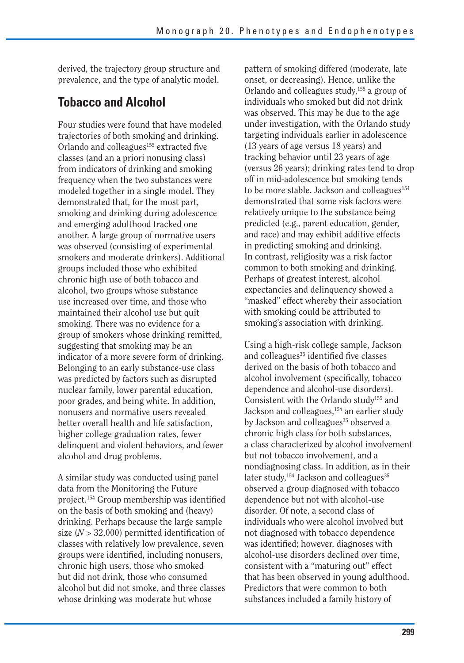derived, the trajectory group structure and prevalence, and the type of analytic model.

### **Tobacco and Alcohol**

Four studies were found that have modeled trajectories of both smoking and drinking. Orlando and colleagues<sup>155</sup> extracted five classes (and an a priori nonusing class) from indicators of drinking and smoking frequency when the two substances were modeled together in a single model. They demonstrated that, for the most part, smoking and drinking during adolescence and emerging adulthood tracked one another. A large group of normative users was observed (consisting of experimental smokers and moderate drinkers). Additional groups included those who exhibited chronic high use of both tobacco and alcohol, two groups whose substance use increased over time, and those who maintained their alcohol use but quit smoking. There was no evidence for a group of smokers whose drinking remitted, suggesting that smoking may be an indicator of a more severe form of drinking. Belonging to an early substance-use class was predicted by factors such as disrupted nuclear family, lower parental education, poor grades, and being white. In addition, nonusers and normative users revealed better overall health and life satisfaction, higher college graduation rates, fewer delinquent and violent behaviors, and fewer alcohol and drug problems.

A similar study was conducted using panel data from the Monitoring the Future project.<sup>154</sup> Group membership was identified on the basis of both smoking and (heavy) drinking. Perhaps because the large sample size  $(N > 32,000)$  permitted identification of classes with relatively low prevalence, seven groups were identified, including nonusers, chronic high users, those who smoked but did not drink, those who consumed alcohol but did not smoke, and three classes whose drinking was moderate but whose

pattern of smoking differed (moderate, late onset, or decreasing). Hence, unlike the Orlando and colleagues study,155 a group of individuals who smoked but did not drink was observed. This may be due to the age under investigation, with the Orlando study targeting individuals earlier in adolescence (13 years of age versus 18 years) and tracking behavior until 23 years of age (versus 26 years); drinking rates tend to drop off in mid-adolescence but smoking tends to be more stable. Jackson and colleagues<sup>154</sup> demonstrated that some risk factors were relatively unique to the substance being predicted (e.g., parent education, gender, and race) and may exhibit additive effects in predicting smoking and drinking. In contrast, religiosity was a risk factor common to both smoking and drinking. Perhaps of greatest interest, alcohol expectancies and delinquency showed a "masked" effect whereby their association with smoking could be attributed to smoking's association with drinking.

Using a high-risk college sample, Jackson and colleagues<sup>35</sup> identified five classes derived on the basis of both tobacco and alcohol involvement (specifically, tobacco dependence and alcohol-use disorders). Consistent with the Orlando study155 and Jackson and colleagues,<sup>154</sup> an earlier study by Jackson and colleagues<sup>35</sup> observed a chronic high class for both substances, a class characterized by alcohol involvement but not tobacco involvement, and a nondiagnosing class. In addition, as in their later study, $154$  Jackson and colleagues<sup>35</sup> observed a group diagnosed with tobacco dependence but not with alcohol-use disorder. Of note, a second class of individuals who were alcohol involved but not diagnosed with tobacco dependence was identified; however, diagnoses with alcohol-use disorders declined over time, consistent with a "maturing out" effect that has been observed in young adulthood. Predictors that were common to both substances included a family history of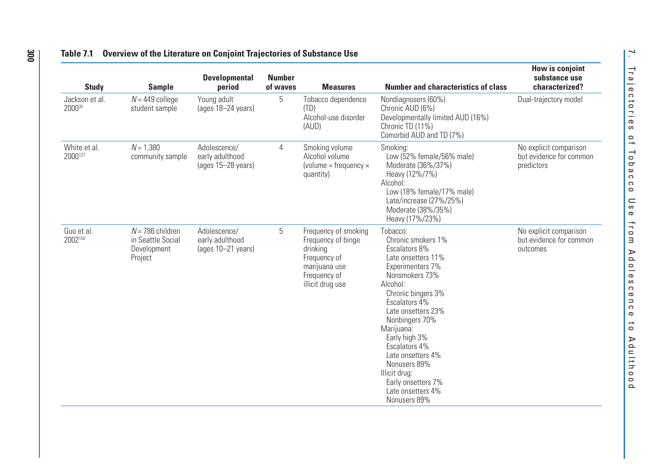| <b>Study</b>             | <b>Sample</b>                                                     | <b>Developmental</b><br>period                        | <b>Number</b><br>of waves | <b>Measures</b>                                                                                                             | <b>Number and characteristics of class</b>                                                                                                                                                                                                                                                                                                                              | How is conjoint<br>substance use<br>characterized?              |
|--------------------------|-------------------------------------------------------------------|-------------------------------------------------------|---------------------------|-----------------------------------------------------------------------------------------------------------------------------|-------------------------------------------------------------------------------------------------------------------------------------------------------------------------------------------------------------------------------------------------------------------------------------------------------------------------------------------------------------------------|-----------------------------------------------------------------|
| Jackson et al.<br>200035 | $N = 449$ college<br>student sample                               | Young adult<br>(ages 18-24 years)                     | 5                         | Tobacco dependence<br>(TD)<br>Alcohol-use disorder<br>(AUD)                                                                 | Nondiagnosers (60%)<br>Chronic AUD (6%)<br>Developmentally limited AUD (16%)<br>Chronic TD (11%)<br>Comorbid AUD and TD (7%)                                                                                                                                                                                                                                            | Dual-trajectory model                                           |
| White et al.<br>2000127  | $N = 1,380$<br>community sample                                   | Adolescence/<br>early adulthood<br>(ages 15-28 years) | 4                         | Smoking volume<br>Alcohol volume<br>(volume = frequency $\times$<br>quantity)                                               | Smoking:<br>Low (52% female/56% male)<br>Moderate (36%/37%)<br>Heavy (12%/7%)<br>Alcohol:<br>Low (18% female/17% male)<br>Late/increase (27%/25%)<br>Moderate (38%/35%)<br>Heavy (17%/23%)                                                                                                                                                                              | No explicit comparison<br>but evidence for common<br>predictors |
| Guo et al.<br>2002150    | $N = 786$ children<br>in Seattle Social<br>Development<br>Project | Adolescence/<br>early adulthood<br>(ages 10-21 years) | 5                         | Frequency of smoking<br>Frequency of binge<br>drinking<br>Frequency of<br>marijuana use<br>Frequency of<br>illicit drug use | Tobacco:<br>Chronic smokers 1%<br>Escalators 8%<br>Late onsetters 11%<br>Experimenters 7%<br>Nonsmokers 73%<br>Alcohol:<br>Chronic bingers 3%<br>Escalators 4%<br>Late onsetters 23%<br>Nonbingers 70%<br>Marijuana:<br>Early high 3%<br>Escalators 4%<br>Late onsetters 4%<br>Nonusers 89%<br>Illicit drug:<br>Early onsetters 7%<br>Late onsetters 4%<br>Nonusers 89% | No explicit comparison<br>but evidence for common<br>outcomes   |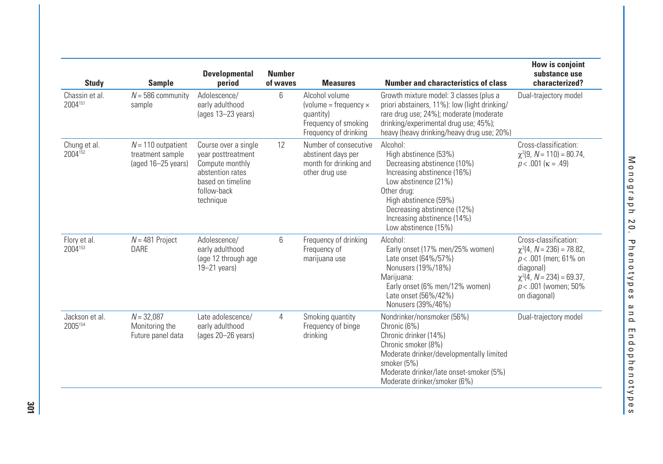| <b>Study</b>              | <b>Sample</b>                                                  | <b>Developmental</b><br>period                                                                                                     | <b>Number</b><br>of waves | <b>Measures</b>                                                                                              | <b>Number and characteristics of class</b>                                                                                                                                                                                                            | <b>How is conjoint</b><br>substance use<br>characterized?                                                                                                                   |
|---------------------------|----------------------------------------------------------------|------------------------------------------------------------------------------------------------------------------------------------|---------------------------|--------------------------------------------------------------------------------------------------------------|-------------------------------------------------------------------------------------------------------------------------------------------------------------------------------------------------------------------------------------------------------|-----------------------------------------------------------------------------------------------------------------------------------------------------------------------------|
| Chassin et al.<br>2004151 | $N = 586$ community<br>sample                                  | Adolescence/<br>early adulthood<br>(ages 13-23 years)                                                                              | 6                         | Alcohol volume<br>(volume = frequency $\times$<br>quantity)<br>Frequency of smoking<br>Frequency of drinking | Growth mixture model: 3 classes (plus a<br>priori abstainers, 11%): low (light drinking/<br>rare drug use; 24%); moderate (moderate<br>drinking/experimental drug use; 45%);<br>heavy (heavy drinking/heavy drug use; 20%)                            | Dual-trajectory model                                                                                                                                                       |
| Chung et al.<br>2004152   | $N = 110$ outpatient<br>treatment sample<br>(aged 16-25 years) | Course over a single<br>year posttreatment<br>Compute monthly<br>abstention rates<br>based on timeline<br>follow-back<br>technique | 12                        | Number of consecutive<br>abstinent days per<br>month for drinking and<br>other drug use                      | Alcohol:<br>High abstinence (53%)<br>Decreasing abstinence (10%)<br>Increasing abstinence (16%)<br>Low abstinence (21%)<br>Other drug:<br>High abstinence (59%)<br>Decreasing abstinence (12%)<br>Increasing abstinence (14%)<br>Low abstinence (15%) | Cross-classification:<br>$\chi^2(9, N = 110) = 80.74,$<br>$p < .001$ ( $\kappa = .49$ )                                                                                     |
| Flory et al.<br>2004153   | $N = 481$ Project<br><b>DARE</b>                               | Adolescence/<br>early adulthood<br>(age 12 through age<br>$19 - 21$ years)                                                         | 6                         | Frequency of drinking<br>Frequency of<br>marijuana use                                                       | Alcohol:<br>Early onset (17% men/25% women)<br>Late onset (64%/57%)<br>Nonusers (19%/18%)<br>Mariiuana:<br>Early onset (6% men/12% women)<br>Late onset (56%/42%)<br>Nonusers (39%/46%)                                                               | Cross-classification:<br>$\chi^2$ (4, N = 236) = 78.82,<br>$p < .001$ (men; 61% on<br>diagonal)<br>$\chi^2$ (4, N = 234) = 69.37,<br>$p < .001$ (women; 50%<br>on diagonal) |
| Jackson et al.<br>2005154 | $N = 32.087$<br>Monitoring the<br>Future panel data            | Late adolescence/<br>early adulthood<br>(ages 20-26 years)                                                                         | 4                         | Smoking quantity<br>Frequency of binge<br>drinking                                                           | Nondrinker/nonsmoker (56%)<br>Chronic (6%)<br>Chronic drinker (14%)<br>Chronic smoker (8%)<br>Moderate drinker/developmentally limited<br>smoker (5%)<br>Moderate drinker/late onset-smoker (5%)<br>Moderate drinker/smoker (6%)                      | Dual-trajectory model                                                                                                                                                       |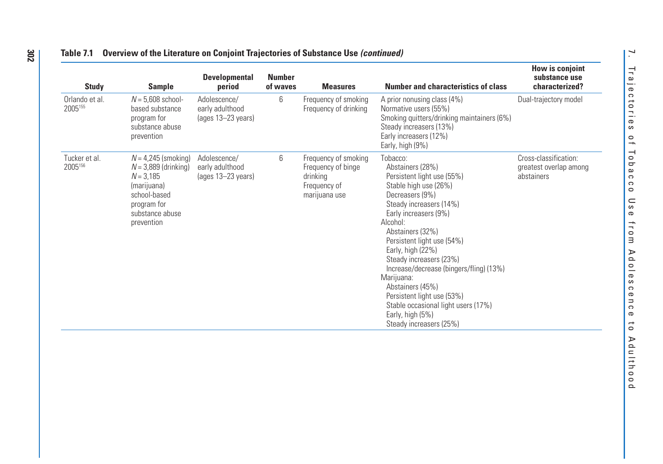| <b>Study</b>              | <b>Sample</b>                                                                                                                                 | <b>Developmental</b><br>period                        | <b>Number</b><br>of waves | <b>Measures</b>                                                                         | <b>Number and characteristics of class</b>                                                                                                                                                                                                                                                                                                                                                                                                                                | How is conjoint<br>substance use<br>characterized?            |
|---------------------------|-----------------------------------------------------------------------------------------------------------------------------------------------|-------------------------------------------------------|---------------------------|-----------------------------------------------------------------------------------------|---------------------------------------------------------------------------------------------------------------------------------------------------------------------------------------------------------------------------------------------------------------------------------------------------------------------------------------------------------------------------------------------------------------------------------------------------------------------------|---------------------------------------------------------------|
| Orlando et al.<br>2005155 | $N = 5,608$ school-<br>based substance<br>program for<br>substance abuse<br>prevention                                                        | Adolescence/<br>early adulthood<br>(ages 13-23 years) | 6                         | Frequency of smoking<br>Frequency of drinking                                           | A prior nonusing class (4%)<br>Normative users (55%)<br>Smoking quitters/drinking maintainers (6%)<br>Steady increasers (13%)<br>Early increasers (12%)<br>Early, high (9%)                                                                                                                                                                                                                                                                                               | Dual-trajectory model                                         |
| Tucker et al.<br>2005156  | $N = 4,245$ (smoking)<br>$N = 3,889$ (drinking)<br>$N = 3.185$<br>(marijuana)<br>school-based<br>program for<br>substance abuse<br>prevention | Adolescence/<br>early adulthood<br>(ages 13-23 years) | 6                         | Frequency of smoking<br>Frequency of binge<br>drinking<br>Frequency of<br>marijuana use | Tobacco:<br>Abstainers (28%)<br>Persistent light use (55%)<br>Stable high use (26%)<br>Decreasers (9%)<br>Steady increasers (14%)<br>Early increasers (9%)<br>Alcohol:<br>Abstainers (32%)<br>Persistent light use (54%)<br>Early, high (22%)<br>Steady increasers (23%)<br>Increase/decrease (bingers/fling) (13%)<br>Marijuana:<br>Abstainers (45%)<br>Persistent light use (53%)<br>Stable occasional light users (17%)<br>Early, high (5%)<br>Steady increasers (25%) | Cross-classification:<br>greatest overlap among<br>abstainers |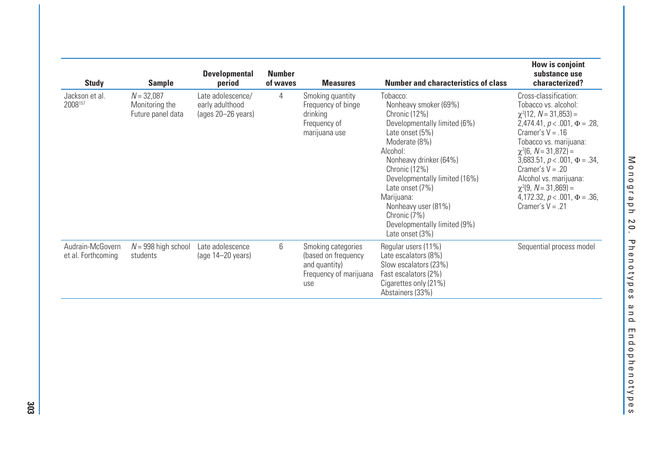| <b>Study</b>                           | <b>Sample</b>                                       | <b>Developmental</b><br>period                             | <b>Number</b><br>of waves | <b>Measures</b>                                                                             | <b>Number and characteristics of class</b>                                                                                                                                                                                                                                                                                                | How is conjoint<br>substance use<br>characterized?                                                                                                                                                                                                                                                                                                                                         |
|----------------------------------------|-----------------------------------------------------|------------------------------------------------------------|---------------------------|---------------------------------------------------------------------------------------------|-------------------------------------------------------------------------------------------------------------------------------------------------------------------------------------------------------------------------------------------------------------------------------------------------------------------------------------------|--------------------------------------------------------------------------------------------------------------------------------------------------------------------------------------------------------------------------------------------------------------------------------------------------------------------------------------------------------------------------------------------|
| Jackson et al.<br>2008157              | $N = 32,087$<br>Monitoring the<br>Future panel data | Late adolescence/<br>early adulthood<br>(ages 20-26 years) | 4                         | Smoking quantity<br>Frequency of binge<br>drinking<br>Frequency of<br>marijuana use         | Tobacco:<br>Nonheavy smoker (69%)<br>Chronic (12%)<br>Developmentally limited (6%)<br>Late onset (5%)<br>Moderate (8%)<br>Alcohol:<br>Nonheavy drinker (64%)<br>Chronic (12%)<br>Developmentally limited (16%)<br>Late onset (7%)<br>Marijuana:<br>Nonheavy user (81%)<br>Chronic (7%)<br>Developmentally limited (9%)<br>Late onset (3%) | Cross-classification:<br>Tobacco vs. alcohol:<br>$\gamma^2$ (12, N = 31,853) =<br>2,474.41, $p < .001$ , $\Phi = .28$ ,<br>Cramer's $V = .16$<br>Tobacco vs. marijuana:<br>$\chi^2$ (6, N = 31,872) =<br>3,683.51, $p < .001$ , $\Phi = .34$ ,<br>Cramer's $V = .20$<br>Alcohol vs. marijuana:<br>$\chi^2(9, N = 31,869) =$<br>4,172.32, $p < .001$ , $\Phi = .36$ ,<br>Cramer's $V = .21$ |
| Audrain-McGovern<br>et al. Forthcoming | $N = 998$ high school<br>students                   | Late adolescence<br>$(aqe 14-20 \text{ years})$            | 6                         | Smoking categories<br>(based on frequency<br>and quantity)<br>Frequency of marijuana<br>use | Regular users (11%)<br>Late escalators (8%)<br>Slow escalators (23%)<br>Fast escalators (2%)<br>Cigarettes only (21%)<br>Abstainers (33%)                                                                                                                                                                                                 | Sequential process model                                                                                                                                                                                                                                                                                                                                                                   |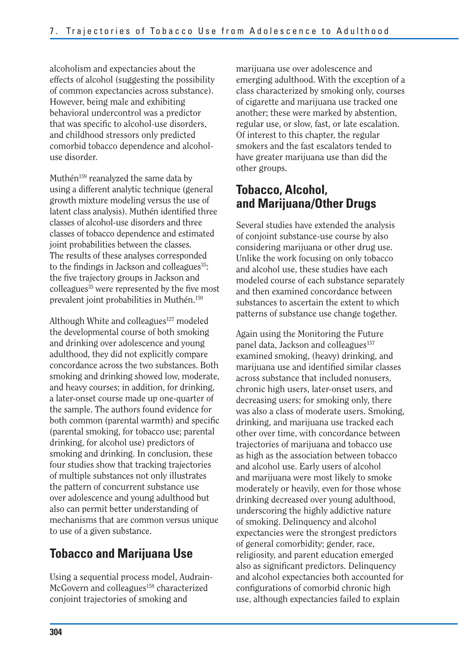alcoholism and expectancies about the effects of alcohol (suggesting the possibility of common expectancies across substance). However, being male and exhibiting behavioral undercontrol was a predictor that was specific to alcohol-use disorders, and childhood stressors only predicted comorbid tobacco dependence and alcoholuse disorder.

Muthén<sup>159</sup> reanalyzed the same data by using a different analytic technique (general growth mixture modeling versus the use of latent class analysis). Muthén identified three classes of alcohol-use disorders and three classes of tobacco dependence and estimated joint probabilities between the classes. The results of these analyses corresponded to the findings in Jackson and colleagues<sup>35</sup>: the five trajectory groups in Jackson and colleagues $35$  were represented by the five most prevalent joint probabilities in Muthén.159

Although White and colleagues<sup>127</sup> modeled the developmental course of both smoking and drinking over adolescence and young adulthood, they did not explicitly compare concordance across the two substances. Both smoking and drinking showed low, moderate, and heavy courses; in addition, for drinking, a later-onset course made up one-quarter of the sample. The authors found evidence for both common (parental warmth) and specific (parental smoking, for tobacco use; parental drinking, for alcohol use) predictors of smoking and drinking. In conclusion, these four studies show that tracking trajectories of multiple substances not only illustrates the pattern of concurrent substance use over adolescence and young adulthood but also can permit better understanding of mechanisms that are common versus unique to use of a given substance.

## **Tobacco and Marijuana Use**

Using a sequential process model, Audrain-McGovern and colleagues<sup>158</sup> characterized conjoint trajectories of smoking and

marijuana use over adolescence and emerging adulthood. With the exception of a class characterized by smoking only, courses of cigarette and marijuana use tracked one another; these were marked by abstention, regular use, or slow, fast, or late escalation. Of interest to this chapter, the regular smokers and the fast escalators tended to have greater marijuana use than did the other groups.

## **Tobacco, Alcohol, and Marijuana/Other Drugs**

Several studies have extended the analysis of conjoint substance-use course by also considering marijuana or other drug use. Unlike the work focusing on only tobacco and alcohol use, these studies have each modeled course of each substance separately and then examined concordance between substances to ascertain the extent to which patterns of substance use change together.

Again using the Monitoring the Future panel data, Jackson and colleagues<sup>157</sup> examined smoking, (heavy) drinking, and marijuana use and identified similar classes across substance that included nonusers, chronic high users, later-onset users, and decreasing users; for smoking only, there was also a class of moderate users. Smoking, drinking, and marijuana use tracked each other over time, with concordance between trajectories of marijuana and tobacco use as high as the association between tobacco and alcohol use. Early users of alcohol and marijuana were most likely to smoke moderately or heavily, even for those whose drinking decreased over young adulthood, underscoring the highly addictive nature of smoking. Delinquency and alcohol expectancies were the strongest predictors of general comorbidity; gender, race, religiosity, and parent education emerged also as significant predictors. Delinquency and alcohol expectancies both accounted for configurations of comorbid chronic high use, although expectancies failed to explain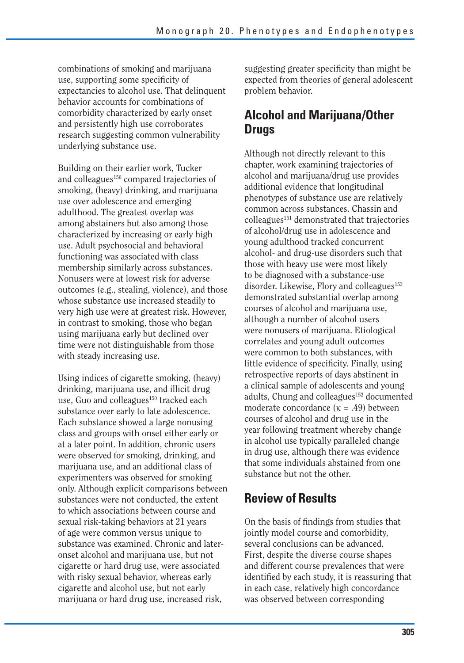combinations of smoking and marijuana use, supporting some specificity of expectancies to alcohol use. That delinquent behavior accounts for combinations of comorbidity characterized by early onset and persistently high use corroborates research suggesting common vulnerability underlying substance use.

Building on their earlier work, Tucker and colleagues<sup>156</sup> compared trajectories of smoking, (heavy) drinking, and marijuana use over adolescence and emerging adulthood. The greatest overlap was among abstainers but also among those characterized by increasing or early high use. Adult psychosocial and behavioral functioning was associated with class membership similarly across substances. Nonusers were at lowest risk for adverse outcomes (e.g., stealing, violence), and those whose substance use increased steadily to very high use were at greatest risk. However, in contrast to smoking, those who began using marijuana early but declined over time were not distinguishable from those with steady increasing use.

Using indices of cigarette smoking, (heavy) drinking, marijuana use, and illicit drug use, Guo and colleagues<sup>150</sup> tracked each substance over early to late adolescence. Each substance showed a large nonusing class and groups with onset either early or at a later point. In addition, chronic users were observed for smoking, drinking, and marijuana use, and an additional class of experimenters was observed for smoking only. Although explicit comparisons between substances were not conducted, the extent to which associations between course and sexual risk-taking behaviors at 21 years of age were common versus unique to substance was examined. Chronic and lateronset alcohol and marijuana use, but not cigarette or hard drug use, were associated with risky sexual behavior, whereas early cigarette and alcohol use, but not early marijuana or hard drug use, increased risk,

suggesting greater specificity than might be expected from theories of general adolescent problem behavior.

## **Alcohol and Marijuana/Other Drugs**

Although not directly relevant to this chapter, work examining trajectories of alcohol and marijuana/drug use provides additional evidence that longitudinal phenotypes of substance use are relatively common across substances. Chassin and colleagues<sup>151</sup> demonstrated that trajectories of alcohol/drug use in adolescence and young adulthood tracked concurrent alcohol- and drug-use disorders such that those with heavy use were most likely to be diagnosed with a substance-use disorder. Likewise, Flory and colleagues $153$ demonstrated substantial overlap among courses of alcohol and marijuana use, although a number of alcohol users were nonusers of marijuana. Etiological correlates and young adult outcomes were common to both substances, with little evidence of specificity. Finally, using retrospective reports of days abstinent in a clinical sample of adolescents and young adults, Chung and colleagues<sup>152</sup> documented moderate concordance ( $\kappa = .49$ ) between courses of alcohol and drug use in the year following treatment whereby change in alcohol use typically paralleled change in drug use, although there was evidence that some individuals abstained from one substance but not the other.

## **Review of Results**

On the basis of findings from studies that jointly model course and comorbidity, several conclusions can be advanced. First, despite the diverse course shapes and different course prevalences that were identified by each study, it is reassuring that in each case, relatively high concordance was observed between corresponding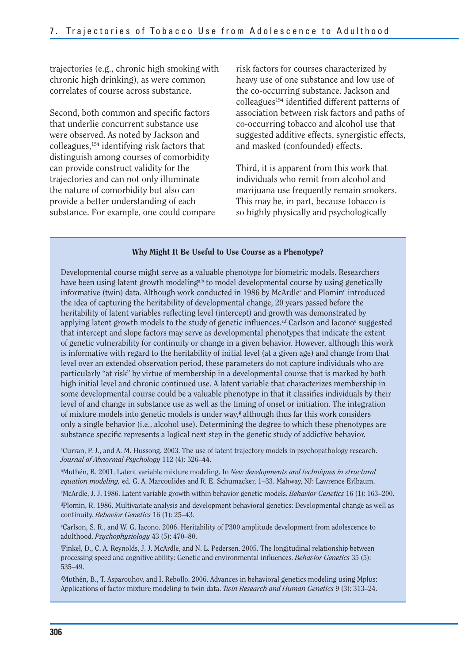trajectories (e.g., chronic high smoking with chronic high drinking), as were common correlates of course across substance.

Second, both common and specific factors that underlie concurrent substance use were observed. As noted by Jackson and colleagues,154 identifying risk factors that distinguish among courses of comorbidity can provide construct validity for the trajectories and can not only illuminate the nature of comorbidity but also can provide a better understanding of each substance. For example, one could compare risk factors for courses characterized by heavy use of one substance and low use of the co-occurring substance. Jackson and colleagues154 identified different patterns of association between risk factors and paths of co-occurring tobacco and alcohol use that suggested additive effects, synergistic effects, and masked (confounded) effects.

Third, it is apparent from this work that individuals who remit from alcohol and marijuana use frequently remain smokers. This may be, in part, because tobacco is so highly physically and psychologically

#### **Why Might It Be Useful to Use Course as a Phenotype?**

Developmental course might serve as a valuable phenotype for biometric models. Researchers have been using latent growth modeling<sup>a,b</sup> to model developmental course by using genetically informative (twin) data. Although work conducted in 1986 by McArdle<sup>c</sup> and Plomin<sup>d</sup> introduced the idea of capturing the heritability of developmental change, 20 years passed before the heritability of latent variables reflecting level (intercept) and growth was demonstrated by applying latent growth models to the study of genetic influences.<sup>e,f</sup> Carlson and Iacono<sup>e</sup> suggested that intercept and slope factors may serve as developmental phenotypes that indicate the extent of genetic vulnerability for continuity or change in a given behavior. However, although this work is informative with regard to the heritability of initial level (at a given age) and change from that level over an extended observation period, these parameters do not capture individuals who are particularly "at risk" by virtue of membership in a developmental course that is marked by both high initial level and chronic continued use. A latent variable that characterizes membership in some developmental course could be a valuable phenotype in that it classifies individuals by their level of and change in substance use as well as the timing of onset or initiation. The integration of mixture models into genetic models is under way, $\epsilon$  although thus far this work considers only a single behavior (i.e., alcohol use). Determining the degree to which these phenotypes are substance specific represents a logical next step in the genetic study of addictive behavior.

a Curran, P. J., and A. M. Hussong. 2003. The use of latent trajectory models in psychopathology research. *Journal of Abnormal Psychology* 112 (4): 526–44.

b Muthén, B. 2001. Latent variable mixture modeling. In *New developments and techniques in structural equation modeling,* ed. G. A. Marcoulides and R. E. Schumacker, 1–33. Mahway, NJ: Lawrence Erlbaum.

c McArdle, J. J. 1986. Latent variable growth within behavior genetic models. *Behavior Genetics* 16 (1): 163–200.

d Plomin, R. 1986. Multivariate analysis and development behavioral genetics: Developmental change as well as continuity. *Behavior Genetics* 16 (1): 25–43.

e Carlson, S. R., and W. G. Iacono. 2006. Heritability of P300 amplitude development from adolescence to adulthood. *Psychophysiology* 43 (5): 470–80.

f Finkel, D., C. A. Reynolds, J. J. McArdle, and N. L. Pedersen. 2005. The longitudinal relationship between processing speed and cognitive ability: Genetic and environmental influences. *Behavior Genetics* 35 (5): 535–49.

g Muthén, B., T. Asparouhov, and I. Rebollo. 2006. Advances in behavioral genetics modeling using Mplus: Applications of factor mixture modeling to twin data. *Twin Research and Human Genetics* 9 (3): 313–24.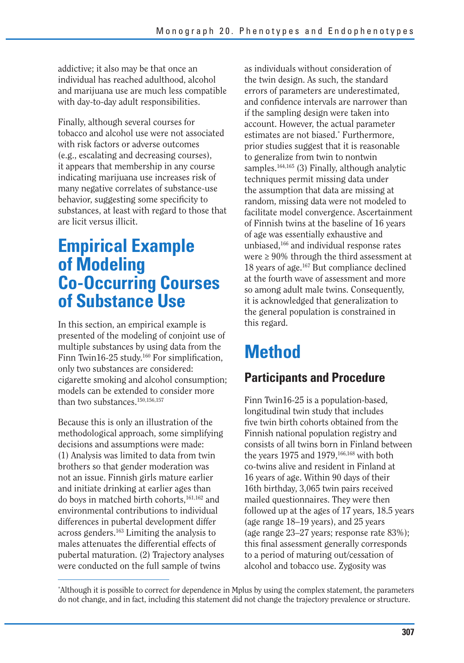addictive; it also may be that once an individual has reached adulthood, alcohol and marijuana use are much less compatible with day-to-day adult responsibilities.

Finally, although several courses for tobacco and alcohol use were not associated with risk factors or adverse outcomes (e.g., escalating and decreasing courses), it appears that membership in any course indicating marijuana use increases risk of many negative correlates of substance-use behavior, suggesting some specificity to substances, at least with regard to those that are licit versus illicit.

## **Empirical Example of Modeling Co-Occurring Courses of Substance Use**

In this section, an empirical example is presented of the modeling of conjoint use of multiple substances by using data from the Finn Twin16-25 study.<sup>160</sup> For simplification, only two substances are considered: cigarette smoking and alcohol consumption; models can be extended to consider more than two substances.<sup>150,156,157</sup>

Because this is only an illustration of the methodological approach, some simplifying decisions and assumptions were made: (1) Analysis was limited to data from twin brothers so that gender moderation was not an issue. Finnish girls mature earlier and initiate drinking at earlier ages than do boys in matched birth cohorts,161,162 and environmental contributions to individual differences in pubertal development differ across genders.163 Limiting the analysis to males attenuates the differential effects of pubertal maturation. (2) Trajectory analyses were conducted on the full sample of twins

as individuals without consideration of the twin design. As such, the standard errors of parameters are underestimated, and confidence intervals are narrower than if the sampling design were taken into account. However, the actual parameter estimates are not biased.\* Furthermore, prior studies suggest that it is reasonable to generalize from twin to nontwin samples.<sup>164,165</sup> (3) Finally, although analytic techniques permit missing data under the assumption that data are missing at random, missing data were not modeled to facilitate model convergence. Ascertainment of Finnish twins at the baseline of 16 years of age was essentially exhaustive and unbiased,166 and individual response rates were ≥ 90% through the third assessment at 18 years of age.167 But compliance declined at the fourth wave of assessment and more so among adult male twins. Consequently, it is acknowledged that generalization to the general population is constrained in this regard.

# **Method**

## **Participants and Procedure**

Finn Twin16-25 is a population-based, longitudinal twin study that includes five twin birth cohorts obtained from the Finnish national population registry and consists of all twins born in Finland between the years 1975 and 1979.<sup>166,168</sup> with both co-twins alive and resident in Finland at 16 years of age. Within 90 days of their 16th birthday, 3,065 twin pairs received mailed questionnaires. They were then followed up at the ages of 17 years, 18.5 years (age range 18–19 years), and 25 years (age range 23–27 years; response rate 83%); this final assessment generally corresponds to a period of maturing out/cessation of alcohol and tobacco use. Zygosity was

<sup>\*</sup> Although it is possible to correct for dependence in Mplus by using the complex statement, the parameters do not change, and in fact, including this statement did not change the trajectory prevalence or structure.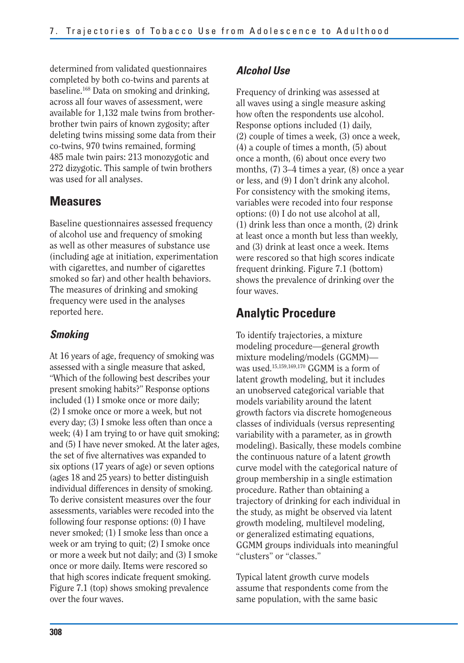determined from validated questionnaires completed by both co-twins and parents at baseline.168 Data on smoking and drinking, across all four waves of assessment, were available for 1,132 male twins from brotherbrother twin pairs of known zygosity; after deleting twins missing some data from their co-twins, 970 twins remained, forming 485 male twin pairs: 213 monozygotic and 272 dizygotic. This sample of twin brothers was used for all analyses.

## **Measures**

Baseline questionnaires assessed frequency of alcohol use and frequency of smoking as well as other measures of substance use (including age at initiation, experimentation with cigarettes, and number of cigarettes smoked so far) and other health behaviors. The measures of drinking and smoking frequency were used in the analyses reported here.

### *Smoking*

At 16 years of age, frequency of smoking was assessed with a single measure that asked, "Which of the following best describes your present smoking habits?" Response options included (1) I smoke once or more daily; (2) I smoke once or more a week, but not every day; (3) I smoke less often than once a week; (4) I am trying to or have quit smoking; and (5) I have never smoked. At the later ages, the set of five alternatives was expanded to six options (17 years of age) or seven options (ages 18 and 25 years) to better distinguish individual differences in density of smoking. To derive consistent measures over the four assessments, variables were recoded into the following four response options: (0) I have never smoked; (1) I smoke less than once a week or am trying to quit; (2) I smoke once or more a week but not daily; and (3) I smoke once or more daily. Items were rescored so that high scores indicate frequent smoking. Figure 7.1 (top) shows smoking prevalence over the four waves.

### *Alcohol Use*

Frequency of drinking was assessed at all waves using a single measure asking how often the respondents use alcohol. Response options included (1) daily, (2) couple of times a week, (3) once a week, (4) a couple of times a month, (5) about once a month, (6) about once every two months, (7) 3–4 times a year, (8) once a year or less, and (9) I don't drink any alcohol. For consistency with the smoking items, variables were recoded into four response options: (0) I do not use alcohol at all, (1) drink less than once a month, (2) drink at least once a month but less than weekly, and (3) drink at least once a week. Items were rescored so that high scores indicate frequent drinking. Figure 7.1 (bottom) shows the prevalence of drinking over the four waves.

## **Analytic Procedure**

To identify trajectories, a mixture modeling procedure—general growth mixture modeling/models (GGMM) was used.15,159,169,170 GGMM is a form of latent growth modeling, but it includes an unobserved categorical variable that models variability around the latent growth factors via discrete homogeneous classes of individuals (versus representing variability with a parameter, as in growth modeling). Basically, these models combine the continuous nature of a latent growth curve model with the categorical nature of group membership in a single estimation procedure. Rather than obtaining a trajectory of drinking for each individual in the study, as might be observed via latent growth modeling, multilevel modeling, or generalized estimating equations, GGMM groups individuals into meaningful "clusters" or "classes."

Typical latent growth curve models assume that respondents come from the same population, with the same basic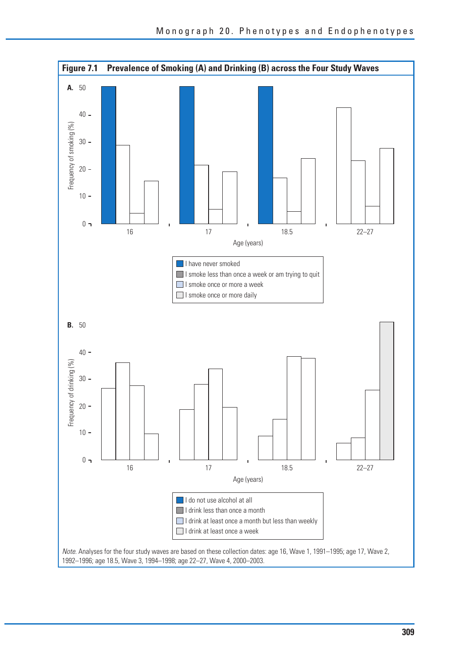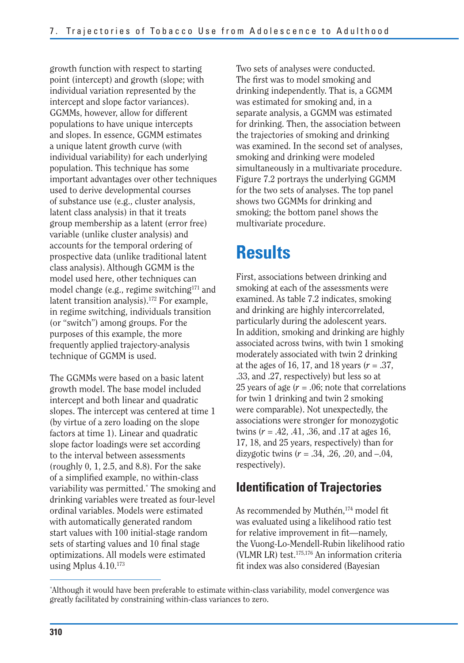growth function with respect to starting point (intercept) and growth (slope; with individual variation represented by the intercept and slope factor variances). GGMMs, however, allow for different populations to have unique intercepts and slopes. In essence, GGMM estimates a unique latent growth curve (with individual variability) for each underlying population. This technique has some important advantages over other techniques used to derive developmental courses of substance use (e.g., cluster analysis, latent class analysis) in that it treats group membership as a latent (error free) variable (unlike cluster analysis) and accounts for the temporal ordering of prospective data (unlike traditional latent class analysis). Although GGMM is the model used here, other techniques can model change (e.g., regime switching<sup>171</sup> and latent transition analysis).<sup>172</sup> For example, in regime switching, individuals transition (or "switch") among groups. For the purposes of this example, the more frequently applied trajectory-analysis technique of GGMM is used.

The GGMMs were based on a basic latent growth model. The base model included intercept and both linear and quadratic slopes. The intercept was centered at time 1 (by virtue of a zero loading on the slope factors at time 1). Linear and quadratic slope factor loadings were set according to the interval between assessments (roughly 0, 1, 2.5, and 8.8). For the sake of a simplified example, no within-class variability was permitted.\* The smoking and drinking variables were treated as four-level ordinal variables. Models were estimated with automatically generated random start values with 100 initial-stage random sets of starting values and 10 final stage optimizations. All models were estimated using Mplus  $4.10^{173}$ 

Two sets of analyses were conducted. The first was to model smoking and drinking independently. That is, a GGMM was estimated for smoking and, in a separate analysis, a GGMM was estimated for drinking. Then, the association between the trajectories of smoking and drinking was examined. In the second set of analyses, smoking and drinking were modeled simultaneously in a multivariate procedure. Figure 7.2 portrays the underlying GGMM for the two sets of analyses. The top panel shows two GGMMs for drinking and smoking; the bottom panel shows the multivariate procedure.

## **Results**

First, associations between drinking and smoking at each of the assessments were examined. As table 7.2 indicates, smoking and drinking are highly intercorrelated, particularly during the adolescent years. In addition, smoking and drinking are highly associated across twins, with twin 1 smoking moderately associated with twin 2 drinking at the ages of 16, 17, and 18 years (*r* = .37, .33, and .27, respectively) but less so at 25 years of age  $(r = .06)$ ; note that correlations for twin 1 drinking and twin 2 smoking were comparable). Not unexpectedly, the associations were stronger for monozygotic twins (*r* = .42, .41, .36, and .17 at ages 16, 17, 18, and 25 years, respectively) than for dizygotic twins  $(r = .34, .26, .20, \text{ and } -.04, )$ respectively).

## **Identification of Trajectories**

As recommended by Muthén,<sup>174</sup> model fit was evaluated using a likelihood ratio test for relative improvement in fit—namely, the Vuong-Lo-Mendell-Rubin likelihood ratio (VLMR LR) test.175,176 An information criteria fit index was also considered (Bayesian

<sup>\*</sup> Although it would have been preferable to estimate within-class variability, model convergence was greatly facilitated by constraining within-class variances to zero.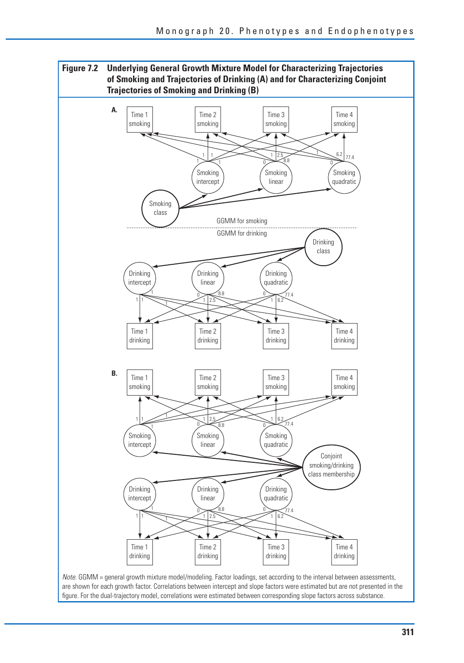**Figure 7.2 Underlying General Growth Mixture Model for Characterizing Trajectories of Smoking and Trajectories of Drinking (A) and for Characterizing Conjoint Trajectories of Smoking and Drinking (B)** 



are shown for each growth factor. Correlations between intercept and slope factors were estimated but are not presented in the figure. For the dual-trajectory model, correlations were estimated between corresponding slope factors across substance.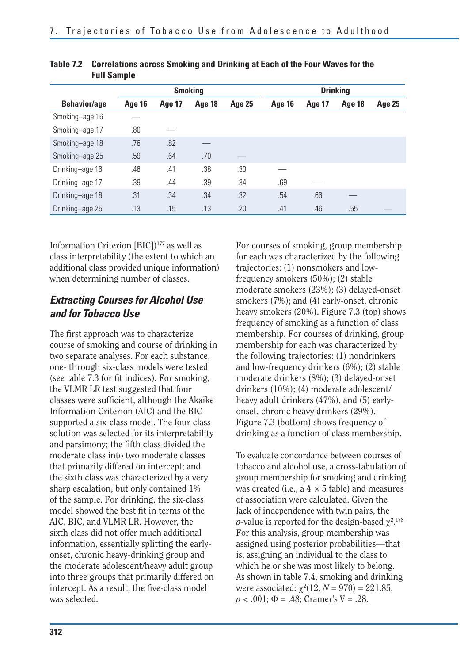| .  vup.v            |               |               |                |               |                 |               |               |               |  |  |
|---------------------|---------------|---------------|----------------|---------------|-----------------|---------------|---------------|---------------|--|--|
|                     |               |               | <b>Smoking</b> |               | <b>Drinking</b> |               |               |               |  |  |
| <b>Behavior/age</b> | <b>Age 16</b> | <b>Age 17</b> | Age 18         | <b>Age 25</b> | Age 16          | <b>Age 17</b> | <b>Age 18</b> | <b>Age 25</b> |  |  |
| Smoking-age 16      |               |               |                |               |                 |               |               |               |  |  |
| Smoking-age 17      | .80           |               |                |               |                 |               |               |               |  |  |
| Smoking-age 18      | .76           | .82           |                |               |                 |               |               |               |  |  |
| Smoking-age 25      | .59           | .64           | .70            |               |                 |               |               |               |  |  |
| Drinking-age 16     | .46           | .41           | .38            | .30           |                 |               |               |               |  |  |
| Drinking-age 17     | .39           | .44           | .39            | .34           | .69             |               |               |               |  |  |
| Drinking-age 18     | .31           | .34           | .34            | .32           | .54             | .66           |               |               |  |  |
| Drinking-age 25     | .13           | .15           | .13            | .20           | .41             | .46           | .55           |               |  |  |

| Table 7.2 Correlations across Smoking and Drinking at Each of the Four Waves for the |
|--------------------------------------------------------------------------------------|
| <b>Full Sample</b>                                                                   |

Information Criterion [BIC])<sup>177</sup> as well as class interpretability (the extent to which an additional class provided unique information) when determining number of classes.

### *Extracting Courses for Alcohol Use and for Tobacco Use*

The first approach was to characterize course of smoking and course of drinking in two separate analyses. For each substance, one- through six-class models were tested (see table 7.3 for fit indices). For smoking, the VLMR LR test suggested that four classes were sufficient, although the Akaike Information Criterion (AIC) and the BIC supported a six-class model. The four-class solution was selected for its interpretability and parsimony; the fifth class divided the moderate class into two moderate classes that primarily differed on intercept; and the sixth class was characterized by a very sharp escalation, but only contained 1% of the sample. For drinking, the six-class model showed the best fit in terms of the AIC, BIC, and VLMR LR. However, the sixth class did not offer much additional information, essentially splitting the earlyonset, chronic heavy-drinking group and the moderate adolescent/heavy adult group into three groups that primarily differed on intercept. As a result, the five-class model was selected.

For courses of smoking, group membership for each was characterized by the following trajectories: (1) nonsmokers and lowfrequency smokers (50%); (2) stable moderate smokers (23%); (3) delayed-onset smokers (7%); and (4) early-onset, chronic heavy smokers (20%). Figure 7.3 (top) shows frequency of smoking as a function of class membership. For courses of drinking, group membership for each was characterized by the following trajectories: (1) nondrinkers and low-frequency drinkers (6%); (2) stable moderate drinkers (8%); (3) delayed-onset drinkers (10%); (4) moderate adolescent/ heavy adult drinkers (47%), and (5) earlyonset, chronic heavy drinkers (29%). Figure 7.3 (bottom) shows frequency of drinking as a function of class membership.

To evaluate concordance between courses of tobacco and alcohol use, a cross-tabulation of group membership for smoking and drinking was created (i.e., a  $4 \times 5$  table) and measures of association were calculated. Given the lack of independence with twin pairs, the *p*-value is reported for the design-based  $\chi^{2.178}$ For this analysis, group membership was assigned using posterior probabilities—that is, assigning an individual to the class to which he or she was most likely to belong. As shown in table 7.4, smoking and drinking were associated:  $\chi^2(12, N = 970) = 221.85$ ,  $p < .001$ ;  $\Phi = .48$ ; Cramer's V = .28.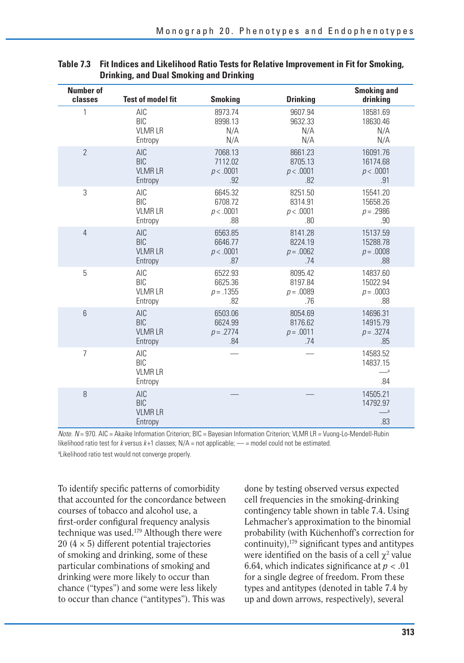| <b>Number of</b><br>classes | <b>Test of model fit</b>                             | <b>Smoking</b> | <b>Drinking</b> | <b>Smoking and</b><br>drinking                  |
|-----------------------------|------------------------------------------------------|----------------|-----------------|-------------------------------------------------|
| 1                           | AIC                                                  | 8973.74        | 9607.94         | 18581.69                                        |
|                             | <b>BIC</b>                                           | 8998.13        | 9632.33         | 18630.46                                        |
|                             | <b>VLMRLR</b>                                        | N/A            | N/A             | N/A                                             |
|                             | Entropy                                              | N/A            | N/A             | N/A                                             |
| $\overline{2}$              | <b>AIC</b>                                           | 7068.13        | 8661.23         | 16091.76                                        |
|                             | <b>BIC</b>                                           | 7112.02        | 8705.13         | 16174.68                                        |
|                             | <b>VLMRLR</b>                                        | p < .0001      | p < .0001       | p < .0001                                       |
|                             | Entropy                                              | .92            | .82             | .91                                             |
| 3                           | AIC                                                  | 6645.32        | 8251.50         | 15541.20                                        |
|                             | <b>BIC</b>                                           | 6708.72        | 8314.91         | 15658.26                                        |
|                             | <b>VLMRLR</b>                                        | p < .0001      | p < .0001       | $p = .2986$                                     |
|                             | Entropy                                              | .88            | .80             | .90                                             |
| $\overline{4}$              | <b>AIC</b>                                           | 6563.85        | 8141.28         | 15137.59                                        |
|                             | <b>BIC</b>                                           | 6646.77        | 8224.19         | 15288.78                                        |
|                             | <b>VLMRLR</b>                                        | p < .0001      | $p = .0062$     | $p = .0008$                                     |
|                             | Entropy                                              | .87            | .74             | .88                                             |
| 5                           | <b>AIC</b>                                           | 6522.93        | 8095.42         | 14837.60                                        |
|                             | <b>BIC</b>                                           | 6625.36        | 8197.84         | 15022.94                                        |
|                             | <b>VLMRLR</b>                                        | $p = .1355$    | $p = .0089$     | $p = .0003$                                     |
|                             | Entropy                                              | .82            | .76             | .88                                             |
| $6\,$                       | <b>AIC</b>                                           | 6503.06        | 8054.69         | 14696.31                                        |
|                             | <b>BIC</b>                                           | 6624.99        | 8176.62         | 14915.79                                        |
|                             | <b>VLMRLR</b>                                        | $p = .2774$    | $p = .0011$     | $p = .3274$                                     |
|                             | Entropy                                              | .84            | .74             | .85                                             |
| $\overline{7}$              | AIC<br><b>BIC</b><br><b>VLMRLR</b><br>Entropy        |                |                 | 14583.52<br>14837.15<br>$-$ <sup>a</sup><br>.84 |
| 8                           | <b>AIC</b><br><b>BIC</b><br><b>VLMRLR</b><br>Entropy |                |                 | 14505.21<br>14792.97<br>$-$ <sup>a</sup><br>.83 |

| Table 7.3 Fit Indices and Likelihood Ratio Tests for Relative Improvement in Fit for Smoking, |
|-----------------------------------------------------------------------------------------------|
| <b>Drinking, and Dual Smoking and Drinking</b>                                                |

Note. N = 970. AIC = Akaike Information Criterion; BIC = Bayesian Information Criterion; VLMR LR = Vuong-Lo-Mendell-Rubin likelihood ratio test for k versus  $k+1$  classes;  $N/A =$  not applicable;  $-$  = model could not be estimated.

<sup>a</sup>Likelihood ratio test would not converge properly.

To identify specific patterns of comorbidity that accounted for the concordance between courses of tobacco and alcohol use, a first-order configural frequency analysis technique was used.179 Although there were  $20 (4 \times 5)$  different potential trajectories of smoking and drinking, some of these particular combinations of smoking and drinking were more likely to occur than chance ("types") and some were less likely to occur than chance ("antitypes"). This was

done by testing observed versus expected cell frequencies in the smoking-drinking contingency table shown in table 7.4. Using Lehmacher's approximation to the binomial probability (with Küchenhoff's correction for continuity),179 significant types and antitypes were identified on the basis of a cell  $\chi^2$  value 6.64, which indicates significance at  $p < .01$ for a single degree of freedom. From these types and antitypes (denoted in table 7.4 by up and down arrows, respectively), several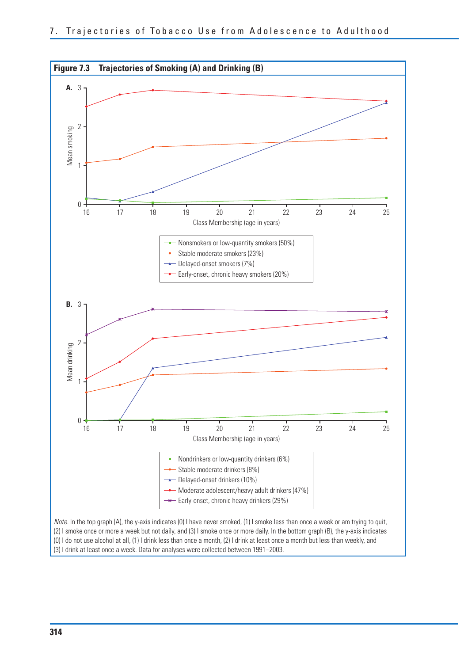

(3) I drink at least once a week. Data for analyses were collected between 1991–2003.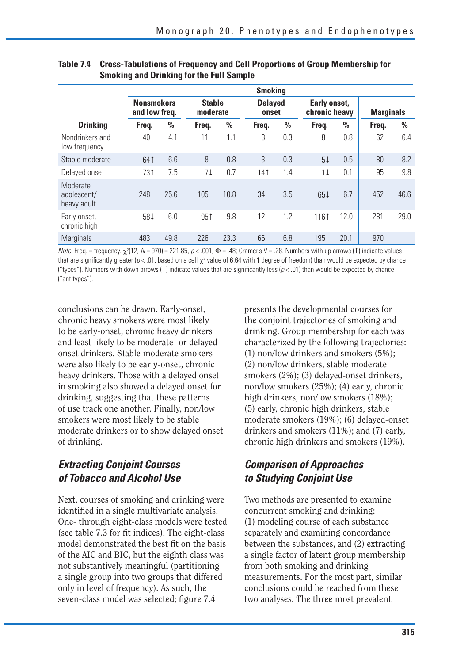|                                        | <b>Smoking</b>                     |               |                 |                           |       |                         |       |                               |                  |               |  |  |
|----------------------------------------|------------------------------------|---------------|-----------------|---------------------------|-------|-------------------------|-------|-------------------------------|------------------|---------------|--|--|
|                                        | <b>Nonsmokers</b><br>and low freq. |               |                 | <b>Stable</b><br>moderate |       | <b>Delayed</b><br>onset |       | Early onset,<br>chronic heavy | <b>Marginals</b> |               |  |  |
| <b>Drinking</b>                        | Freg.                              | $\frac{0}{0}$ | Freq.           | $\frac{0}{0}$             | Freq. | $\frac{0}{0}$           | Freq. | $\frac{0}{0}$                 | Freq.            | $\frac{0}{0}$ |  |  |
| Nondrinkers and<br>low frequency       | 40                                 | 4.1           | 11              | 1.1                       | 3     | 0.3                     | 8     | 0.8                           | 62               | 6.4           |  |  |
| Stable moderate                        | 641                                | 6.6           | 8               | 0.8                       | 3     | 0.3                     | 51    | 0.5                           | 80               | 8.2           |  |  |
| Delayed onset                          | 731                                | 7.5           | 71              | 0.7                       | 141   | 1.4                     | 11    | 0.1                           | 95               | 9.8           |  |  |
| Moderate<br>adolescent/<br>heavy adult | 248                                | 25.6          | 105             | 10.8                      | 34    | 3.5                     | 651   | 6.7                           | 452              | 46.6          |  |  |
| Early onset,<br>chronic high           | 584                                | 6.0           | 95 <sup>†</sup> | 9.8                       | 12    | 1.2                     | 1161  | 12.0                          | 281              | 29.0          |  |  |
| Marginals                              | 483                                | 49.8          | 226             | 23.3                      | 66    | 6.8                     | 195   | 20.1                          | 970              |               |  |  |

#### **Table 7.4 Cross-Tabulations of Frequency and Cell Proportions of Group Membership for Smoking and Drinking for the Full Sample**

*Note.* Freq. = frequency.  $\chi^2(12, N = 970) = 221.85$ ,  $\rho < .001$ ;  $\Phi = .48$ ; Cramer's V = .28. Numbers with up arrows (1) indicate values that are significantly greater ( $p < .01$ , based on a cell  $\chi^2$  value of 6.64 with 1 degree of freedom) than would be expected by chance ("types"). Numbers with down arrows (1) indicate values that are significantly less ( $p < .01$ ) than would be expected by chance ("antitypes").

conclusions can be drawn. Early-onset, chronic heavy smokers were most likely to be early-onset, chronic heavy drinkers and least likely to be moderate- or delayedonset drinkers. Stable moderate smokers were also likely to be early-onset, chronic heavy drinkers. Those with a delayed onset in smoking also showed a delayed onset for drinking, suggesting that these patterns of use track one another. Finally, non/low smokers were most likely to be stable moderate drinkers or to show delayed onset of drinking.

### *Extracting Conjoint Courses of Tobacco and Alcohol Use*

Next, courses of smoking and drinking were identified in a single multivariate analysis. One- through eight-class models were tested (see table 7.3 for fit indices). The eight-class model demonstrated the best fit on the basis of the AIC and BIC, but the eighth class was not substantively meaningful (partitioning a single group into two groups that differed only in level of frequency). As such, the seven-class model was selected; figure 7.4

presents the developmental courses for the conjoint trajectories of smoking and drinking. Group membership for each was characterized by the following trajectories: (1) non/low drinkers and smokers (5%); (2) non/low drinkers, stable moderate smokers (2%); (3) delayed-onset drinkers, non/low smokers (25%); (4) early, chronic high drinkers, non/low smokers (18%); (5) early, chronic high drinkers, stable moderate smokers (19%); (6) delayed-onset drinkers and smokers (11%); and (7) early, chronic high drinkers and smokers (19%).

### *Comparison of Approaches to Studying Conjoint Use*

Two methods are presented to examine concurrent smoking and drinking: (1) modeling course of each substance separately and examining concordance between the substances, and (2) extracting a single factor of latent group membership from both smoking and drinking measurements. For the most part, similar conclusions could be reached from these two analyses. The three most prevalent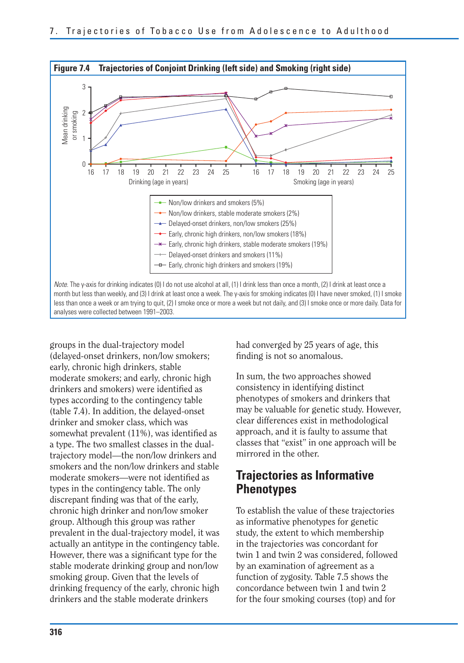

groups in the dual-trajectory model (delayed-onset drinkers, non/low smokers; early, chronic high drinkers, stable moderate smokers; and early, chronic high drinkers and smokers) were identified as types according to the contingency table (table 7.4). In addition, the delayed-onset drinker and smoker class, which was somewhat prevalent  $(11\%)$ , was identified as a type. The two smallest classes in the dualtrajectory model—the non/low drinkers and smokers and the non/low drinkers and stable moderate smokers—were not identified as types in the contingency table. The only discrepant finding was that of the early, chronic high drinker and non/low smoker group. Although this group was rather prevalent in the dual-trajectory model, it was actually an antitype in the contingency table. However, there was a significant type for the stable moderate drinking group and non/low smoking group. Given that the levels of drinking frequency of the early, chronic high drinkers and the stable moderate drinkers

had converged by 25 years of age, this finding is not so anomalous.

In sum, the two approaches showed consistency in identifying distinct phenotypes of smokers and drinkers that may be valuable for genetic study. However, clear differences exist in methodological approach, and it is faulty to assume that classes that "exist" in one approach will be mirrored in the other.

## **Trajectories as Informative Phenotypes**

To establish the value of these trajectories as informative phenotypes for genetic study, the extent to which membership in the trajectories was concordant for twin 1 and twin 2 was considered, followed by an examination of agreement as a function of zygosity. Table 7.5 shows the concordance between twin 1 and twin 2 for the four smoking courses (top) and for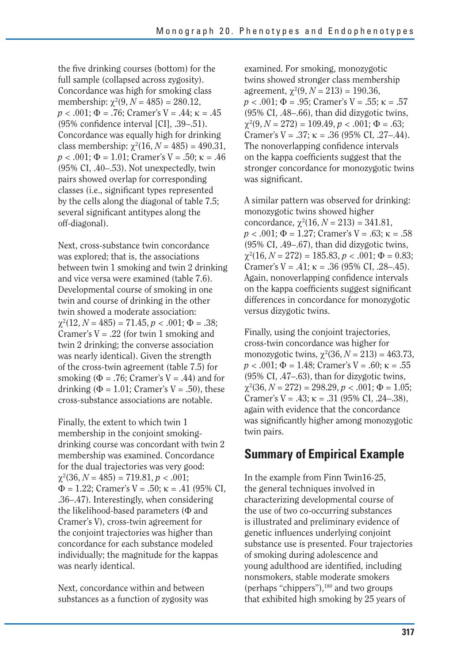the five drinking courses (bottom) for the full sample (collapsed across zygosity). Concordance was high for smoking class membership:  $\chi^2(9, N = 485) = 280.12$ ,  $p < .001$ ;  $\Phi = .76$ ; Cramer's V = .44;  $\kappa = .45$ (95% confidence interval [CI], .39–.51). Concordance was equally high for drinking class membership:  $\chi^2(16, N = 485) = 490.31$ ,  $p < .001$ ;  $\Phi = 1.01$ ; Cramer's V = .50;  $\kappa = .46$ (95% CI, .40–.53). Not unexpectedly, twin pairs showed overlap for corresponding classes (i.e., significant types represented by the cells along the diagonal of table 7.5; several significant antitypes along the off-diagonal).

Next, cross-substance twin concordance was explored; that is, the associations between twin 1 smoking and twin 2 drinking and vice versa were examined (table 7.6). Developmental course of smoking in one twin and course of drinking in the other twin showed a moderate association:  $\chi^2(12, N = 485) = 71.45, p < .001; \Phi = .38;$ Cramer's  $V = .22$  (for twin 1 smoking and twin 2 drinking; the converse association was nearly identical). Given the strength of the cross-twin agreement (table 7.5) for smoking ( $\Phi = .76$ ; Cramer's V = .44) and for drinking ( $\Phi$  = 1.01; Cramer's V = .50), these cross-substance associations are notable.

Finally, the extent to which twin 1 membership in the conjoint smokingdrinking course was concordant with twin 2 membership was examined. Concordance for the dual trajectories was very good:  $\chi^2(36, N = 485) = 719.81, p < .001;$  $\Phi = 1.22$ ; Cramer's V = .50;  $\kappa = .41$  (95% CI, .36–.47). Interestingly, when considering the likelihood-based parameters  $(\Phi$  and Cramer's V), cross-twin agreement for the conjoint trajectories was higher than concordance for each substance modeled individually; the magnitude for the kappas was nearly identical.

Next, concordance within and between substances as a function of zygosity was

examined. For smoking, monozygotic twins showed stronger class membership agreement,  $\chi^2(9, N = 213) = 190.36$ ,  $p < .001$ ;  $\Phi = .95$ ; Cramer's V = .55;  $\kappa = .57$ (95% CI, .48–.66), than did dizygotic twins,  $\chi^2(9, N = 272) = 109.49, p < .001; \Phi = .63;$ Cramer's  $V = .37$ ;  $\kappa = .36$  (95% CI, .27–.44). The nonoverlapping confidence intervals on the kappa coefficients suggest that the stronger concordance for monozygotic twins was significant.

A similar pattern was observed for drinking: monozygotic twins showed higher concordance,  $\chi^2(16, N = 213) = 341.81$ ,  $p < .001$ ;  $\Phi = 1.27$ ; Cramer's V = .63;  $\kappa = .58$ (95% CI, .49–.67), than did dizygotic twins,  $\chi^2(16, N = 272) = 185.83, p < .001; \Phi = 0.83;$ Cramer's  $V = .41$ ;  $\kappa = .36$  (95% CI, .28–.45). Again, nonoverlapping confidence intervals on the kappa coefficients suggest significant differences in concordance for monozygotic versus dizygotic twins.

Finally, using the conjoint trajectories, cross-twin concordance was higher for monozygotic twins,  $\chi^2(36, N = 213) = 463.73$ ,  $p < .001$ ;  $\Phi = 1.48$ ; Cramer's V = .60;  $\kappa = .55$ (95% CI, .47–.63), than for dizygotic twins,  $\chi^2(36, N = 272) = 298.29, p < .001; \Phi = 1.05;$ Cramer's  $V = .43$ ;  $\kappa = .31$  (95% CI, .24–.38), again with evidence that the concordance was significantly higher among monozygotic twin pairs.

### **Summary of Empirical Example**

In the example from Finn Twin16-25, the general techniques involved in characterizing developmental course of the use of two co-occurring substances is illustrated and preliminary evidence of genetic influences underlying conjoint substance use is presented. Four trajectories of smoking during adolescence and young adulthood are identified, including nonsmokers, stable moderate smokers (perhaps "chippers"),<sup>180</sup> and two groups that exhibited high smoking by 25 years of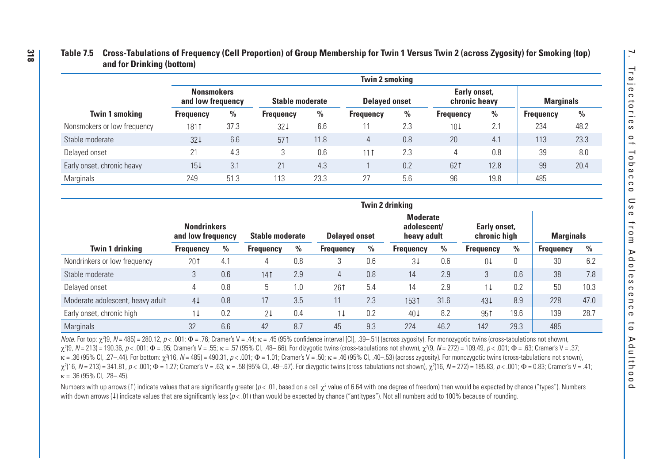### **Table 7.5 Cross-Tabulations of Frequency (Cell Proportion) of Group Membership for Twin 1 Versus Twin 2 (across Zygosity) for Smoking (top) and for Drinking (bottom)**

|                             | <b>Twin 2 smoking</b>                  |      |                        |      |                      |      |                               |               |                  |               |  |  |  |
|-----------------------------|----------------------------------------|------|------------------------|------|----------------------|------|-------------------------------|---------------|------------------|---------------|--|--|--|
|                             | <b>Nonsmokers</b><br>and low frequency |      | <b>Stable moderate</b> |      | <b>Delaved onset</b> |      | Early onset,<br>chronic heavy |               | <b>Marginals</b> |               |  |  |  |
| <b>Twin 1 smoking</b>       | <b>Frequency</b>                       | %    | <b>Frequency</b>       | %    | <b>Frequency</b>     | $\%$ | <b>Frequency</b>              | $\frac{0}{0}$ | <b>Frequency</b> | $\frac{0}{0}$ |  |  |  |
| Nonsmokers or low frequency | 1811                                   | 37.3 | 321                    | 6.6  | 11                   | 2.3  | 101                           | 2.1           | 234              | 48.2          |  |  |  |
| Stable moderate             | 321                                    | 6.6  | 571                    | 11.8 | 4                    | 0.8  | 20                            | 4.1           | 113              | 23.3          |  |  |  |
| Delayed onset               | 21                                     | 4.3  |                        | 0.6  | 111                  | 2.3  |                               | 0.8           | 39               | 8.0           |  |  |  |
| Early onset, chronic heavy  | 151                                    | 3.1  | 21                     | 4.3  |                      | 0.2  | 621                           | 12.8          | 99               | 20.4          |  |  |  |
| Marginals                   | 249                                    | 51.3 | 113                    | 23.3 | 27                   | 5.6  | 96                            | 19.8          | 485              |               |  |  |  |

|                                  |                                         |     |                        |     |                      |               | <b>Twin 2 drinking</b>                        |               |                              |      |                  |      |
|----------------------------------|-----------------------------------------|-----|------------------------|-----|----------------------|---------------|-----------------------------------------------|---------------|------------------------------|------|------------------|------|
|                                  | <b>Nondrinkers</b><br>and low frequency |     | <b>Stable moderate</b> |     | <b>Delayed onset</b> |               | <b>Moderate</b><br>adolescent/<br>heavy adult |               | Early onset,<br>chronic high |      | <b>Marginals</b> |      |
| <b>Twin 1 drinking</b>           | <b>Frequency</b>                        | %   | <b>Frequency</b>       | %   | <b>Frequency</b>     | $\frac{0}{0}$ | <b>Frequency</b>                              | $\frac{0}{0}$ | <b>Frequency</b>             | $\%$ | <b>Frequency</b> | $\%$ |
| Nondrinkers or low frequency     | 201                                     | 4.1 | 4                      | 0.8 | 3                    | 0.6           | 31                                            | 0.6           | 04                           | 0    | 30               | 6.2  |
| Stable moderate                  | 3                                       | 0.6 | 141                    | 2.9 | 4                    | 0.8           | 14                                            | 2.9           | 3                            | 0.6  | 38               | 7.8  |
| Delayed onset                    | 4                                       | 0.8 | 5                      | 0.1 | 261                  | 5.4           | 14                                            | 2.9           | 11                           | 0.2  | 50               | 10.3 |
| Moderate adolescent, heavy adult | 41                                      | 0.8 | 17                     | 3.5 | 11                   | 2.3           | 1531                                          | 31.6          | 431                          | 8.9  | 228              | 47.0 |
| Early onset, chronic high        | 11                                      | 0.2 | 21                     | 0.4 | 11                   | 0.2           | 401                                           | 8.2           | 951                          | 19.6 | 139              | 28.7 |
| <b>Marginals</b>                 | 32                                      | 6.6 | 42                     | 8.7 | 45                   | 9.3           | 224                                           | 46.2          | 142                          | 29.3 | 485              |      |

Note. For top:  $\chi^2(9, N = 485) = 280.12$ ,  $p < .001$ ;  $\Phi = .76$ ; Cramer's V = .44;  $\kappa = .45$  (95% confidence interval [Cl], .39--51) (across zygosity). For monozygotic twins (cross-tabulations not shown),<br>  $\chi^2(9, N = 213) = 19$ N = 485) = 280.12, p < .001;  $\Phi$  = .76; Cramer's V = .44;  $\kappa$  = .45 (95% confidence interval [CI], .39—.51) (across zygosity). For monozygotic twins (cross-tabulations not shown), χ29, N = 213) = 190.36, ρ < .001; Φ = .95; Cramer's V = .55; κ = .57 (95% Cl, .48—.66). For dizygotic twins (cross-tabulations not shown), χ2(9, N = 272) = 109.49, ρ < .001; Φ = .63; Cramer's V = .37; κ = .36 (95% Cl, .27–.44). For bottom: χ²(16, N = 485) = 490.31, p < .001; Φ = 1.01; Cramer's V = .50; κ = .46 (95% Cl, .40–.53) (across zygosity). For monozygotic twins (cross-tabulations not shown), χ-416, N = 213) = 341.81, p < .001; Φ = 1.27; Cramer's V = .63; κ = .58 (95% Cl, .49-.67). For dizygotic twins (cross-tabulations not shown), χ-416, N = 272) = 185.83, p < .001; Φ = 0.83; Cramer's V = .41;  $\kappa$  = .36 (95% CI, .28–.45).

Numbers with up arrows (1) indicate values that are significantly greater (p< .01, based on a cell  $\chi^2$  value of 6.64 with one degree of freedom) than would be expected by chance ("types"). Numbers with down arrows (4) indicate values that are significantly less (p<.01) than would be expected by chance ("antitypes"). Not all numbers add to 100% because of rounding.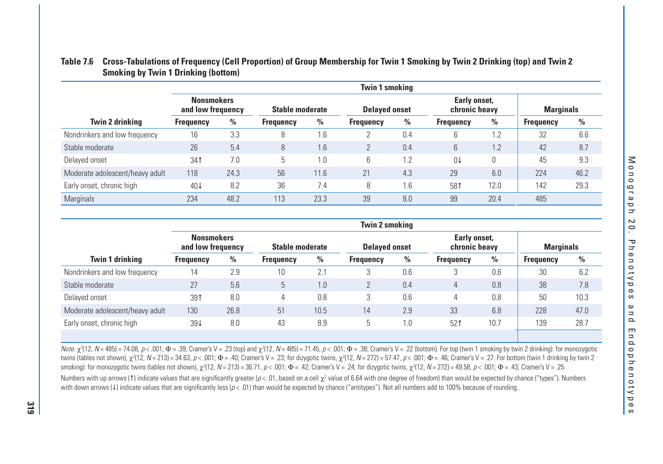|                                 | <b>Twin 1 smoking</b>                  |      |                        |      |                  |                      |                  |                               |                  |                  |  |  |  |
|---------------------------------|----------------------------------------|------|------------------------|------|------------------|----------------------|------------------|-------------------------------|------------------|------------------|--|--|--|
|                                 | <b>Nonsmokers</b><br>and low frequency |      | <b>Stable moderate</b> |      |                  | <b>Delayed onset</b> |                  | Early onset,<br>chronic heavy |                  | <b>Marginals</b> |  |  |  |
| Twin 2 drinking                 | <b>Frequency</b>                       | $\%$ | <b>Frequency</b>       | $\%$ | <b>Frequency</b> | $\%$                 | <b>Frequency</b> | $\%$                          | <b>Frequency</b> | $\frac{0}{0}$    |  |  |  |
| Nondrinkers and low frequency   | 16                                     | 3.3  | 8                      | 1.6  |                  | 0.4                  | b                | $\Omega$                      | 32               | 6.6              |  |  |  |
| Stable moderate                 | 26                                     | 5.4  | 8                      | 1.6  |                  | 0.4                  | $\mathfrak b$    | 1.2                           | 42               | 8.7              |  |  |  |
| Delayed onset                   | 341                                    | 7.0  | 5                      | 1.0  | 6                | 1.2                  | 01               | 0                             | 45               | 9.3              |  |  |  |
| Moderate adolescent/heavy adult | 118                                    | 24.3 | 56                     | 11.6 | 21               | 4.3                  | 29               | 6.0                           | 224              | 46.2             |  |  |  |
| Early onset, chronic high       | 40 <sup>1</sup>                        | 8.2  | 36                     | 7.4  | 8                | 1.6                  | 581              | 12.0                          | 142              | 29.3             |  |  |  |
| Marginals                       | 234                                    | 48.2 | 113                    | 23.3 | 39               | 8.0                  | 99               | 20.4                          | 485              |                  |  |  |  |

### **Table 7.6 Cross-Tabulations of Frequency (Cell Proportion) of Group Membership for Twin 1 Smoking by Twin 2 Drinking (top) and Twin 2 Smoking by Twin 1 Drinking (bottom)**

|                                 | <b>Twin 2 smoking</b>                  |               |                  |               |                      |               |                               |               |                  |      |
|---------------------------------|----------------------------------------|---------------|------------------|---------------|----------------------|---------------|-------------------------------|---------------|------------------|------|
|                                 | <b>Nonsmokers</b><br>and low frequency |               | Stable moderate  |               | <b>Delayed onset</b> |               | Early onset,<br>chronic heavy |               | <b>Marginals</b> |      |
| Twin 1 drinking                 | <b>Frequency</b>                       | $\frac{0}{0}$ | <b>Frequency</b> | $\frac{0}{0}$ | <b>Frequency</b>     | $\frac{0}{0}$ | <b>Frequency</b>              | $\frac{0}{0}$ | <b>Frequency</b> | $\%$ |
| Nondrinkers and low frequency   | 14                                     | 2.9           | 10               | 2.            | 3                    | 0.6           |                               | 0.6           | 30               | 6.2  |
| Stable moderate                 | 27                                     | 5.6           | 5                | 1.0           |                      | 0.4           | 4                             | 0.8           | 38               | 7.8  |
| Delayed onset                   | 391                                    | 8.0           | 4                | 0.8           | 3                    | 0.6           | 4                             | 0.8           | 50               | 10.3 |
| Moderate adolescent/heavy adult | 130                                    | 26.8          | 51               | 10.5          | 14                   | 2.9           | 33                            | 6.8           | 228              | 47.0 |
| Early onset, chronic high       | 394                                    | 8.0           | 43               | 8.9           | ს                    | 1.0           | 521                           | 10.7          | 139              | 28.7 |
|                                 |                                        |               |                  |               |                      |               |                               |               |                  |      |

Note.  $\chi^2(12, N = 485) = 74.08$ ,  $p < .001$ ;  $\Phi = .39$ ; Cramer's V = .23 (top) and  $\chi^2(12, N = 485) = 71.45$ ,  $p < .001$ ;  $\Phi = .38$ ; Cramer's V = .22 (bottom). For top (twin 1 smoking by twin 2 drinking; for monozygotic wins (tab  $N$  = 485) = 74.08, p < .001;  $\Phi$  = .39; Cramer's V = .23 (top) and  $\chi^2(12, N=485)$  = 71.45, p < .001;  $\Phi$  = .38; Cramer's V = .22 (bottom). For top (twin 1 smoking by twin 2 drinking): for monozygotic twins (tables not shown),  $\chi^2(12, \, N=213)$  = 34.63,  $\rho < .001;$   $\Phi = .40;$  Cramer's V = .23; for dizygotic twins,  $\chi^2(12, \, N=272)$  = 57.47,  $\rho < .001;$   $\Phi = .46;$  Cramer's V = .27. For bottom (twin 1 drinking by twin 2 smoking): for monozygotic twins (tables not shown),  $\chi^2(12,  $N=213)=36.71$ ,  $\rho<.001;$   $\Phi=.42;$  Cramer's V = .24; for dizygotic twins,  $\chi^2(12,$   $N=272)=$  49.58,  $\rho<.001;$   $\Phi=.43;$  Cramer's V = .25.$ Numbers with up arrows (1) indicate values that are significantly greater ( $p < .01$ , based on a cell  $\chi^2$  value of 6.64 with one degree of freedom) than would be expected by chance ("types"). Numbers with down arrows (4) indicate values that are significantly less ( $p < .01$ ) than would be expected by chance ("antitypes"). Not all numbers add to 100% because of rounding.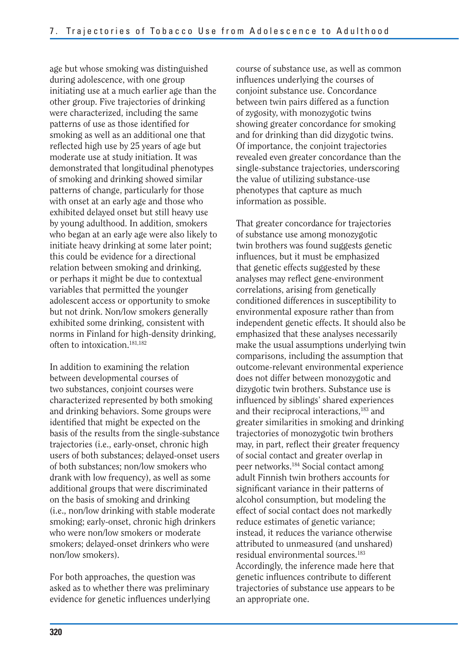age but whose smoking was distinguished during adolescence, with one group initiating use at a much earlier age than the other group. Five trajectories of drinking were characterized, including the same patterns of use as those identified for smoking as well as an additional one that reflected high use by 25 years of age but moderate use at study initiation. It was demonstrated that longitudinal phenotypes of smoking and drinking showed similar patterns of change, particularly for those with onset at an early age and those who exhibited delayed onset but still heavy use by young adulthood. In addition, smokers who began at an early age were also likely to initiate heavy drinking at some later point; this could be evidence for a directional relation between smoking and drinking, or perhaps it might be due to contextual variables that permitted the younger adolescent access or opportunity to smoke but not drink. Non/low smokers generally exhibited some drinking, consistent with norms in Finland for high-density drinking, often to intoxication.181,182

In addition to examining the relation between developmental courses of two substances, conjoint courses were characterized represented by both smoking and drinking behaviors. Some groups were identified that might be expected on the basis of the results from the single-substance trajectories (i.e., early-onset, chronic high users of both substances; delayed-onset users of both substances; non/low smokers who drank with low frequency), as well as some additional groups that were discriminated on the basis of smoking and drinking (i.e., non/low drinking with stable moderate smoking; early-onset, chronic high drinkers who were non/low smokers or moderate smokers; delayed-onset drinkers who were non/low smokers).

For both approaches, the question was asked as to whether there was preliminary evidence for genetic influences underlying course of substance use, as well as common influences underlying the courses of conjoint substance use. Concordance between twin pairs differed as a function of zygosity, with monozygotic twins showing greater concordance for smoking and for drinking than did dizygotic twins. Of importance, the conjoint trajectories revealed even greater concordance than the single-substance trajectories, underscoring the value of utilizing substance-use phenotypes that capture as much information as possible.

That greater concordance for trajectories of substance use among monozygotic twin brothers was found suggests genetic influences, but it must be emphasized that genetic effects suggested by these analyses may reflect gene-environment correlations, arising from genetically conditioned differences in susceptibility to environmental exposure rather than from independent genetic effects. It should also be emphasized that these analyses necessarily make the usual assumptions underlying twin comparisons, including the assumption that outcome-relevant environmental experience does not differ between monozygotic and dizygotic twin brothers. Substance use is influenced by siblings' shared experiences and their reciprocal interactions,<sup>183</sup> and greater similarities in smoking and drinking trajectories of monozygotic twin brothers may, in part, reflect their greater frequency of social contact and greater overlap in peer networks.184 Social contact among adult Finnish twin brothers accounts for significant variance in their patterns of alcohol consumption, but modeling the effect of social contact does not markedly reduce estimates of genetic variance; instead, it reduces the variance otherwise attributed to unmeasured (and unshared) residual environmental sources.183 Accordingly, the inference made here that genetic influences contribute to different trajectories of substance use appears to be an appropriate one.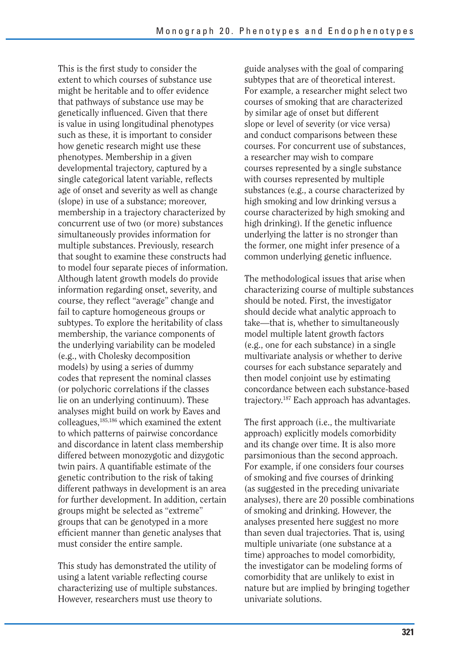This is the first study to consider the extent to which courses of substance use might be heritable and to offer evidence that pathways of substance use may be genetically influenced. Given that there is value in using longitudinal phenotypes such as these, it is important to consider how genetic research might use these phenotypes. Membership in a given developmental trajectory, captured by a single categorical latent variable, reflects age of onset and severity as well as change (slope) in use of a substance; moreover, membership in a trajectory characterized by concurrent use of two (or more) substances simultaneously provides information for multiple substances. Previously, research that sought to examine these constructs had to model four separate pieces of information. Although latent growth models do provide information regarding onset, severity, and course, they reflect "average" change and fail to capture homogeneous groups or subtypes. To explore the heritability of class membership, the variance components of the underlying variability can be modeled (e.g., with Cholesky decomposition models) by using a series of dummy codes that represent the nominal classes (or polychoric correlations if the classes lie on an underlying continuum). These analyses might build on work by Eaves and colleagues,185,186 which examined the extent to which patterns of pairwise concordance and discordance in latent class membership differed between monozygotic and dizygotic twin pairs. A quantifiable estimate of the genetic contribution to the risk of taking different pathways in development is an area for further development. In addition, certain groups might be selected as "extreme" groups that can be genotyped in a more efficient manner than genetic analyses that must consider the entire sample.

This study has demonstrated the utility of using a latent variable reflecting course characterizing use of multiple substances. However, researchers must use theory to

guide analyses with the goal of comparing subtypes that are of theoretical interest. For example, a researcher might select two courses of smoking that are characterized by similar age of onset but different slope or level of severity (or vice versa) and conduct comparisons between these courses. For concurrent use of substances, a researcher may wish to compare courses represented by a single substance with courses represented by multiple substances (e.g., a course characterized by high smoking and low drinking versus a course characterized by high smoking and high drinking). If the genetic influence underlying the latter is no stronger than the former, one might infer presence of a common underlying genetic influence.

The methodological issues that arise when characterizing course of multiple substances should be noted. First, the investigator should decide what analytic approach to take—that is, whether to simultaneously model multiple latent growth factors (e.g., one for each substance) in a single multivariate analysis or whether to derive courses for each substance separately and then model conjoint use by estimating concordance between each substance-based trajectory.187 Each approach has advantages.

The first approach (i.e., the multivariate approach) explicitly models comorbidity and its change over time. It is also more parsimonious than the second approach. For example, if one considers four courses of smoking and five courses of drinking (as suggested in the preceding univariate analyses), there are 20 possible combinations of smoking and drinking. However, the analyses presented here suggest no more than seven dual trajectories. That is, using multiple univariate (one substance at a time) approaches to model comorbidity, the investigator can be modeling forms of comorbidity that are unlikely to exist in nature but are implied by bringing together univariate solutions.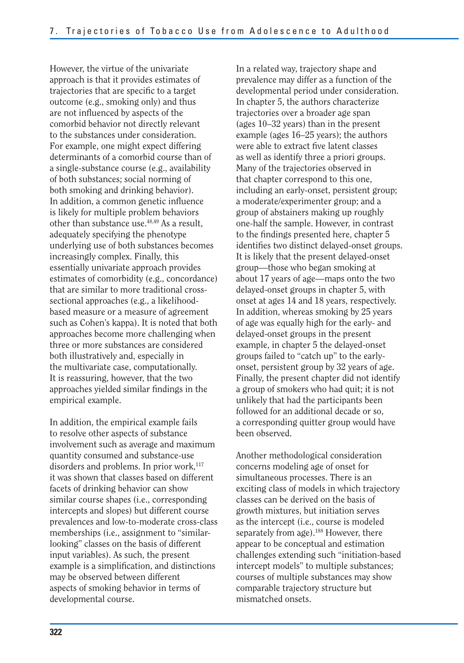However, the virtue of the univariate approach is that it provides estimates of trajectories that are specific to a target outcome (e.g., smoking only) and thus are not influenced by aspects of the comorbid behavior not directly relevant to the substances under consideration. For example, one might expect differing determinants of a comorbid course than of a single-substance course (e.g., availability of both substances; social norming of both smoking and drinking behavior). In addition, a common genetic influence is likely for multiple problem behaviors other than substance use.48,49 As a result, adequately specifying the phenotype underlying use of both substances becomes increasingly complex. Finally, this essentially univariate approach provides estimates of comorbidity (e.g., concordance) that are similar to more traditional crosssectional approaches (e.g., a likelihoodbased measure or a measure of agreement such as Cohen's kappa). It is noted that both approaches become more challenging when three or more substances are considered both illustratively and, especially in the multivariate case, computationally. It is reassuring, however, that the two approaches yielded similar findings in the empirical example.

In addition, the empirical example fails to resolve other aspects of substance involvement such as average and maximum quantity consumed and substance-use disorders and problems. In prior work, $117$ it was shown that classes based on different facets of drinking behavior can show similar course shapes (i.e., corresponding intercepts and slopes) but different course prevalences and low-to-moderate cross-class memberships (i.e., assignment to "similarlooking" classes on the basis of different input variables). As such, the present example is a simplification, and distinctions may be observed between different aspects of smoking behavior in terms of developmental course.

In a related way, trajectory shape and prevalence may differ as a function of the developmental period under consideration. In chapter 5, the authors characterize trajectories over a broader age span (ages 10–32 years) than in the present example (ages 16–25 years); the authors were able to extract five latent classes as well as identify three a priori groups. Many of the trajectories observed in that chapter correspond to this one, including an early-onset, persistent group; a moderate/experimenter group; and a group of abstainers making up roughly one-half the sample. However, in contrast to the findings presented here, chapter 5 identifies two distinct delayed-onset groups. It is likely that the present delayed-onset group—those who began smoking at about 17 years of age—maps onto the two delayed-onset groups in chapter 5, with onset at ages 14 and 18 years, respectively. In addition, whereas smoking by 25 years of age was equally high for the early- and delayed-onset groups in the present example, in chapter 5 the delayed-onset groups failed to "catch up" to the earlyonset, persistent group by 32 years of age. Finally, the present chapter did not identify a group of smokers who had quit; it is not unlikely that had the participants been followed for an additional decade or so, a corresponding quitter group would have been observed.

Another methodological consideration concerns modeling age of onset for simultaneous processes. There is an exciting class of models in which trajectory classes can be derived on the basis of growth mixtures, but initiation serves as the intercept (i.e., course is modeled separately from age).<sup>188</sup> However, there appear to be conceptual and estimation challenges extending such "initiation-based intercept models" to multiple substances; courses of multiple substances may show comparable trajectory structure but mismatched onsets.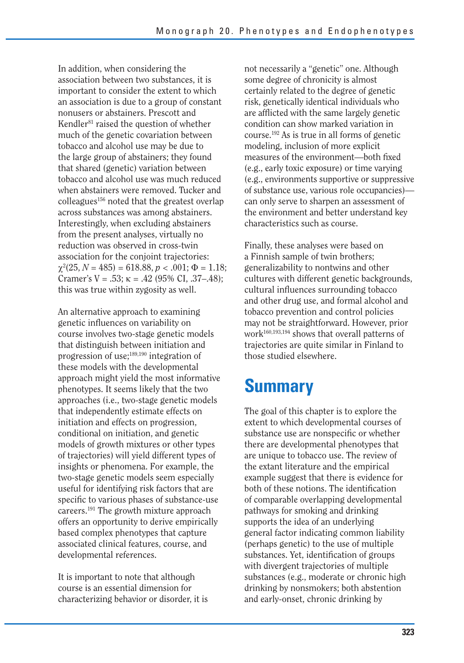In addition, when considering the association between two substances, it is important to consider the extent to which an association is due to a group of constant nonusers or abstainers. Prescott and Kendler $81$  raised the question of whether much of the genetic covariation between tobacco and alcohol use may be due to the large group of abstainers; they found that shared (genetic) variation between tobacco and alcohol use was much reduced when abstainers were removed. Tucker and colleagues<sup>156</sup> noted that the greatest overlap across substances was among abstainers. Interestingly, when excluding abstainers from the present analyses, virtually no reduction was observed in cross-twin association for the conjoint trajectories:  $\chi^2(25, N = 485) = 618.88, p < .001; \Phi = 1.18;$ Cramer's  $V = .53$ ;  $\kappa = .42$  (95% CI, .37–.48); this was true within zygosity as well.

An alternative approach to examining genetic influences on variability on course involves two-stage genetic models that distinguish between initiation and progression of use;189,190 integration of these models with the developmental approach might yield the most informative phenotypes. It seems likely that the two approaches (i.e., two-stage genetic models that independently estimate effects on initiation and effects on progression, conditional on initiation, and genetic models of growth mixtures or other types of trajectories) will yield different types of insights or phenomena. For example, the two-stage genetic models seem especially useful for identifying risk factors that are specific to various phases of substance-use careers.191 The growth mixture approach offers an opportunity to derive empirically based complex phenotypes that capture associated clinical features, course, and developmental references.

It is important to note that although course is an essential dimension for characterizing behavior or disorder, it is not necessarily a "genetic" one. Although some degree of chronicity is almost certainly related to the degree of genetic risk, genetically identical individuals who are afflicted with the same largely genetic condition can show marked variation in course.192 As is true in all forms of genetic modeling, inclusion of more explicit measures of the environment—both fixed (e.g., early toxic exposure) or time varying (e.g., environments supportive or suppressive of substance use, various role occupancies) can only serve to sharpen an assessment of the environment and better understand key characteristics such as course.

Finally, these analyses were based on a Finnish sample of twin brothers; generalizability to nontwins and other cultures with different genetic backgrounds, cultural influences surrounding tobacco and other drug use, and formal alcohol and tobacco prevention and control policies may not be straightforward. However, prior work160,193,194 shows that overall patterns of trajectories are quite similar in Finland to those studied elsewhere.

# **Summary**

The goal of this chapter is to explore the extent to which developmental courses of substance use are nonspecific or whether there are developmental phenotypes that are unique to tobacco use. The review of the extant literature and the empirical example suggest that there is evidence for both of these notions. The identification of comparable overlapping developmental pathways for smoking and drinking supports the idea of an underlying general factor indicating common liability (perhaps genetic) to the use of multiple substances. Yet, identification of groups with divergent trajectories of multiple substances (e.g., moderate or chronic high drinking by nonsmokers; both abstention and early-onset, chronic drinking by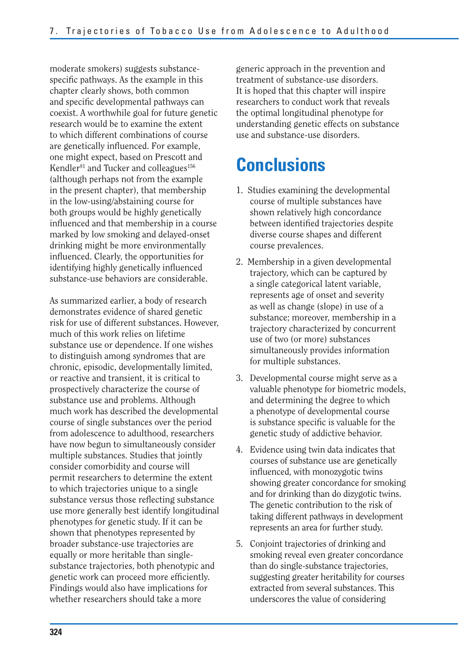moderate smokers) suggests substancespecific pathways. As the example in this chapter clearly shows, both common and specific developmental pathways can coexist. A worthwhile goal for future genetic research would be to examine the extent to which different combinations of course are genetically influenced. For example, one might expect, based on Prescott and Kendler<sup>81</sup> and Tucker and colleagues<sup>156</sup> (although perhaps not from the example in the present chapter), that membership in the low-using/abstaining course for both groups would be highly genetically influenced and that membership in a course marked by low smoking and delayed-onset drinking might be more environmentally influenced. Clearly, the opportunities for identifying highly genetically influenced substance-use behaviors are considerable.

As summarized earlier, a body of research demonstrates evidence of shared genetic risk for use of different substances. However, much of this work relies on lifetime substance use or dependence. If one wishes to distinguish among syndromes that are chronic, episodic, developmentally limited, or reactive and transient, it is critical to prospectively characterize the course of substance use and problems. Although much work has described the developmental course of single substances over the period from adolescence to adulthood, researchers have now begun to simultaneously consider multiple substances. Studies that jointly consider comorbidity and course will permit researchers to determine the extent to which trajectories unique to a single substance versus those reflecting substance use more generally best identify longitudinal phenotypes for genetic study. If it can be shown that phenotypes represented by broader substance-use trajectories are equally or more heritable than singlesubstance trajectories, both phenotypic and genetic work can proceed more efficiently. Findings would also have implications for whether researchers should take a more

generic approach in the prevention and treatment of substance-use disorders. It is hoped that this chapter will inspire researchers to conduct work that reveals the optimal longitudinal phenotype for understanding genetic effects on substance use and substance-use disorders.

## **Conclusions**

- 1. Studies examining the developmental course of multiple substances have shown relatively high concordance between identified trajectories despite diverse course shapes and different course prevalences.
- 2. Membership in a given developmental trajectory, which can be captured by a single categorical latent variable, represents age of onset and severity as well as change (slope) in use of a substance; moreover, membership in a trajectory characterized by concurrent use of two (or more) substances simultaneously provides information for multiple substances.
- 3. Developmental course might serve as a valuable phenotype for biometric models, and determining the degree to which a phenotype of developmental course is substance specific is valuable for the genetic study of addictive behavior.
- 4. Evidence using twin data indicates that courses of substance use are genetically influenced, with monozygotic twins showing greater concordance for smoking and for drinking than do dizygotic twins. The genetic contribution to the risk of taking different pathways in development represents an area for further study.
- 5. Conjoint trajectories of drinking and smoking reveal even greater concordance than do single-substance trajectories, suggesting greater heritability for courses extracted from several substances. This underscores the value of considering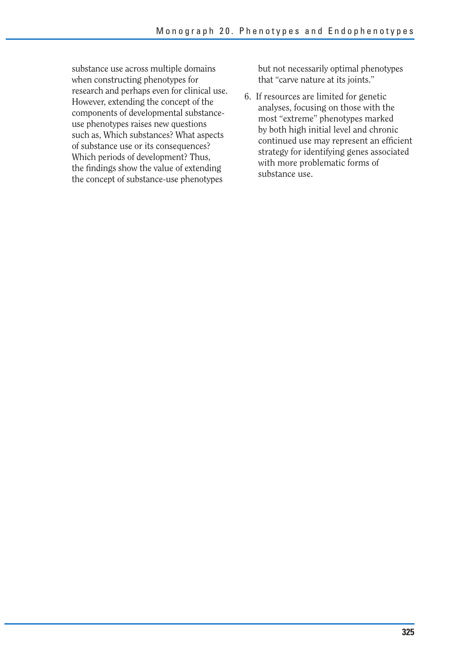substance use across multiple domains when constructing phenotypes for research and perhaps even for clinical use. However, extending the concept of the components of developmental substanceuse phenotypes raises new questions such as, Which substances? What aspects of substance use or its consequences? Which periods of development? Thus, the findings show the value of extending the concept of substance-use phenotypes

but not necessarily optimal phenotypes that "carve nature at its joints."

6. If resources are limited for genetic analyses, focusing on those with the most "extreme" phenotypes marked by both high initial level and chronic continued use may represent an efficient strategy for identifying genes associated with more problematic forms of substance use.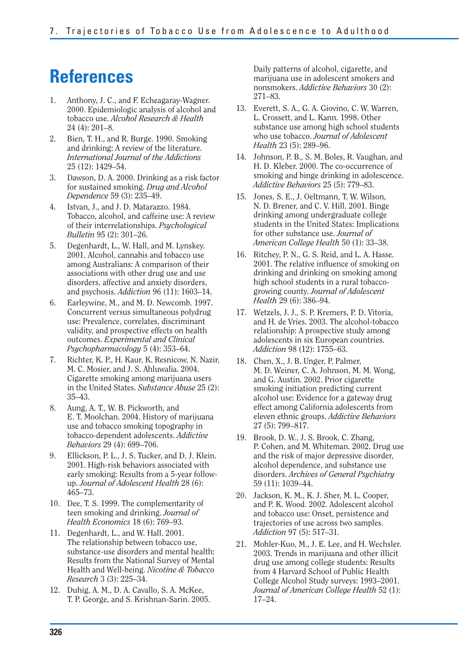## **References**

- 1. Anthony, J. C., and F. Echeagaray-Wagner. 2000. Epidemiologic analysis of alcohol and tobacco use. *Alcohol Research & Health*  24 (4): 201–8.
- 2. Bien, T. H., and R. Burge. 1990. Smoking and drinking: A review of the literature. *International Journal of the Addictions*  25 (12): 1429–54.
- 3. Dawson, D. A. 2000. Drinking as a risk factor for sustained smoking. *Drug and Alcohol Dependence* 59 (3): 235–49.
- 4. Istvan, J., and J. D. Matarazzo. 1984. Tobacco, alcohol, and caffeine use: A review of their interrelationships. *Psychological Bulletin* 95 (2): 301–26.
- 5. Degenhardt, L., W. Hall, and M. Lynskey. 2001. Alcohol, cannabis and tobacco use among Australians: A comparison of their associations with other drug use and use disorders, affective and anxiety disorders, and psychosis. *Addiction* 96 (11): 1603–14.
- 6. Earleywine, M., and M. D. Newcomb. 1997. Concurrent versus simultaneous polydrug use: Prevalence, correlates, discriminant validity, and prospective effects on health outcomes. *Experimental and Clinical Psychopharmacology* 5 (4): 353–64.
- 7. Richter, K. P., H. Kaur, K. Resnicow, N. Nazir, M. C. Mosier, and J. S. Ahluwalia. 2004. Cigarette smoking among marijuana users in the United States. *Substance Abuse* 25 (2): 35–43.
- 8. Aung, A. T., W. B. Pickworth, and E. T. Moolchan. 2004. History of marijuana use and tobacco smoking topography in tobacco-dependent adolescents. *Addictive Behaviors* 29 (4): 699–706.
- 9. Ellickson, P. L., J. S. Tucker, and D. J. Klein. 2001. High-risk behaviors associated with early smoking: Results from a 5-year followup. *Journal of Adolescent Health* 28 (6): 465–73.
- 10. Dee, T. S. 1999. The complementarity of teen smoking and drinking. *Journal of Health Economics* 18 (6): 769–93.
- 11. Degenhardt, L., and W. Hall. 2001. The relationship between tobacco use, substance-use disorders and mental health: Results from the National Survey of Mental Health and Well-being. *Nicotine & Tobacco Research* 3 (3): 225–34.
- 12. Duhig, A. M., D. A. Cavallo, S. A. McKee, T. P. George, and S. Krishnan-Sarin. 2005.

Daily patterns of alcohol, cigarette, and marijuana use in adolescent smokers and nonsmokers. *Addictive Behaviors* 30 (2): 271–83.

- 13. Everett, S. A., G. A. Giovino, C. W. Warren, L. Crossett, and L. Kann. 1998. Other substance use among high school students who use tobacco. *Journal of Adolescent Health* 23 (5): 289–96.
- 14. Johnson, P. B., S. M. Boles, R. Vaughan, and H. D. Kleber. 2000. The co-occurrence of smoking and binge drinking in adolescence. *Addictive Behaviors* 25 (5): 779–83.
- 15. Jones, S. E., J. Oeltmann, T. W. Wilson, N. D. Brener, and C. V. Hill. 2001. Binge drinking among undergraduate college students in the United States: Implications for other substance use. *Journal of American College Health* 50 (1): 33–38.
- 16. Ritchey, P. N., G. S. Reid, and L. A. Hasse. 2001. The relative influence of smoking on drinking and drinking on smoking among high school students in a rural tobaccogrowing county. *Journal of Adolescent Health* 29 (6): 386–94.
- 17. Wetzels, J. J., S. P. Kremers, P. D. Vitoria, and H. de Vries. 2003. The alcohol-tobacco relationship: A prospective study among adolescents in six European countries. *Addiction* 98 (12): 1755–63.
- 18. Chen, X., J. B. Unger, P. Palmer, M. D. Weiner, C. A. Johnson, M. M. Wong, and G. Austin. 2002. Prior cigarette smoking initiation predicting current alcohol use: Evidence for a gateway drug effect among California adolescents from eleven ethnic groups. *Addictive Behaviors*  27 (5): 799–817.
- 19. Brook, D. W., J. S. Brook, C. Zhang, P. Cohen, and M. Whiteman. 2002. Drug use and the risk of major depressive disorder, alcohol dependence, and substance use disorders. *Archives of General Psychiatry*  59 (11): 1039–44.
- 20. Jackson, K. M., K. J. Sher, M. L. Cooper, and P. K. Wood. 2002. Adolescent alcohol and tobacco use: Onset, persistence and trajectories of use across two samples. *Addiction* 97 (5): 517–31.
- 21. Mohler-Kuo, M., J. E. Lee, and H. Wechsler. 2003. Trends in marijuana and other illicit drug use among college students: Results from 4 Harvard School of Public Health College Alcohol Study surveys: 1993–2001. *Journal of American College Health* 52 (1): 17–24.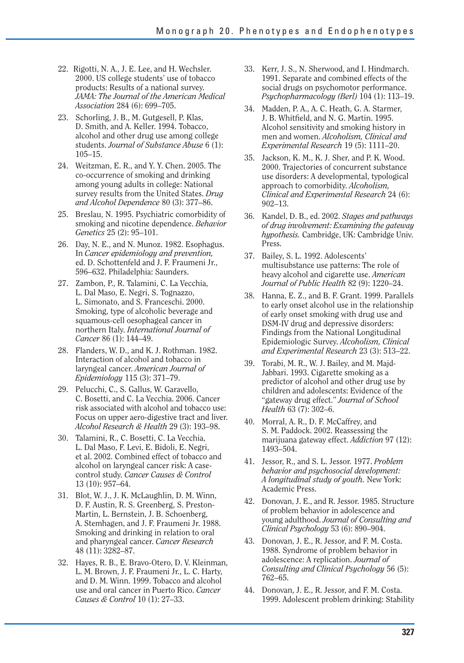- 22. Rigotti, N. A., J. E. Lee, and H. Wechsler. 2000. US college students' use of tobacco products: Results of a national survey. *JAMA: The Journal of the American Medical Association* 284 (6): 699–705.
- 23. Schorling, J. B., M. Gutgesell, P. Klas, D. Smith, and A. Keller. 1994. Tobacco, alcohol and other drug use among college students. *Journal of Substance Abuse* 6 (1): 105–15.
- 24. Weitzman, E. R., and Y. Y. Chen. 2005. The co-occurrence of smoking and drinking among young adults in college: National survey results from the United States. *Drug and Alcohol Dependence* 80 (3): 377–86.
- 25. Breslau, N. 1995. Psychiatric comorbidity of smoking and nicotine dependence. *Behavior Genetics* 25 (2): 95–101.
- 26. Day, N. E., and N. Munoz. 1982. Esophagus. In *Cancer epidemiology and prevention,*  ed. D. Schottenfeld and J. F. Fraumeni Jr., 596–632. Philadelphia: Saunders.
- 27. Zambon, P., R. Talamini, C. La Vecchia, L. Dal Maso, E. Negri, S. Tognazzo, L. Simonato, and S. Franceschi. 2000. Smoking, type of alcoholic beverage and squamous-cell oesophageal cancer in northern Italy. *International Journal of Cancer* 86 (1): 144–49.
- 28. Flanders, W. D., and K. J. Rothman, 1982. Interaction of alcohol and tobacco in laryngeal cancer. *American Journal of Epidemiology* 115 (3): 371–79.
- 29. Pelucchi, C., S. Gallus, W. Garavello, C. Bosetti, and C. La Vecchia. 2006. Cancer risk associated with alcohol and tobacco use: Focus on upper aero-digestive tract and liver. *Alcohol Research & Health* 29 (3): 193–98.
- 30. Talamini, R., C. Bosetti, C. La Vecchia, L. Dal Maso, F. Levi, E. Bidoli, E. Negri, et al. 2002. Combined effect of tobacco and alcohol on laryngeal cancer risk: A casecontrol study. *Cancer Causes & Control*  13 (10): 957–64.
- 31. Blot, W. J., J. K. McLaughlin, D. M. Winn, D. F. Austin, R. S. Greenberg, S. Preston-Martin, L. Bernstein, J. B. Schoenberg, A. Stemhagen, and J. F. Fraumeni Jr. 1988. Smoking and drinking in relation to oral and pharyngeal cancer. *Cancer Research*  48 (11): 3282–87.
- 32. Hayes, R. B., E. Bravo-Otero, D. V. Kleinman, L. M. Brown, J. F. Fraumeni Jr., L. C. Harty, and D. M. Winn. 1999. Tobacco and alcohol use and oral cancer in Puerto Rico. *Cancer Causes & Control* 10 (1): 27–33.
- 33. Kerr, J. S., N. Sherwood, and I. Hindmarch. 1991. Separate and combined effects of the social drugs on psychomotor performance. *Psychopharmacology (Berl)* 104 (1): 113–19.
- 34. Madden, P. A., A. C. Heath, G. A. Starmer, J. B. Whitfield, and N. G. Martin. 1995. Alcohol sensitivity and smoking history in men and women. *Alcoholism, Clinical and Experimental Research* 19 (5): 1111–20.
- 35. Jackson, K. M., K. J. Sher, and P. K. Wood. 2000. Trajectories of concurrent substance use disorders: A developmental, typological approach to comorbidity. *Alcoholism, Clinical and Experimental Research* 24 (6): 902–13.
- 36. Kandel, D. B., ed. 2002. *Stages and pathways of drug involvement: Examining the gateway hypothesis.* Cambridge, UK: Cambridge Univ. Press.
- 37. Bailey, S. L. 1992. Adolescents' multisubstance use patterns: The role of heavy alcohol and cigarette use. *American Journal of Public Health* 82 (9): 1220–24.
- 38. Hanna, E. Z., and B. F. Grant. 1999. Parallels to early onset alcohol use in the relationship of early onset smoking with drug use and DSM-IV drug and depressive disorders: Findings from the National Longitudinal Epidemiologic Survey. *Alcoholism, Clinical and Experimental Research* 23 (3): 513–22.
- 39. Torabi, M. R., W. J. Bailey, and M. Majd-Jabbari. 1993. Cigarette smoking as a predictor of alcohol and other drug use by children and adolescents: Evidence of the "gateway drug effect." *Journal of School Health* 63 (7): 302–6.
- 40. Morral, A. R., D. F. McCaffrey, and S. M. Paddock. 2002. Reassessing the marijuana gateway effect. *Addiction* 97 (12): 1493–504.
- 41. Jessor, R., and S. L. Jessor. 1977. *Problem behavior and psychosocial development: A longitudinal study of youth.* New York: Academic Press.
- 42. Donovan, J. E., and R. Jessor. 1985. Structure of problem behavior in adolescence and young adulthood. *Journal of Consulting and Clinical Psychology* 53 (6): 890–904.
- 43. Donovan, J. E., R. Jessor, and F. M. Costa. 1988. Syndrome of problem behavior in adolescence: A replication. *Journal of Consulting and Clinical Psychology* 56 (5): 762–65.
- 44. Donovan, J. E., R. Jessor, and F. M. Costa. 1999. Adolescent problem drinking: Stability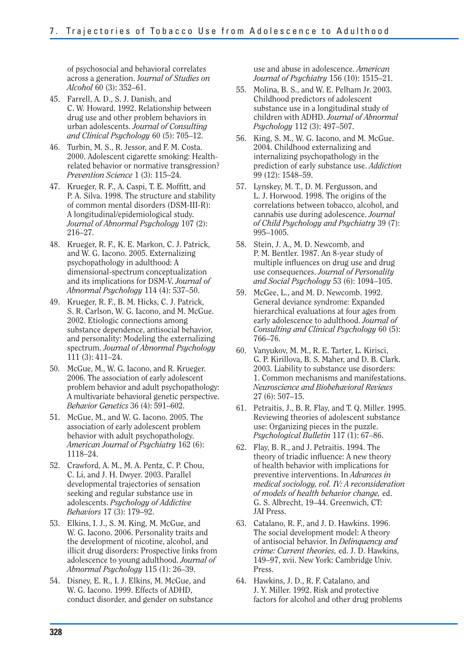of psychosocial and behavioral correlates across a generation. J*ournal of Studies on Alcohol* 60 (3): 352–61.

- 45. Farrell, A. D., S. J. Danish, and C. W. Howard. 1992. Relationship between drug use and other problem behaviors in urban adolescents. *Journal of Consulting and Clinical Psychology* 60 (5): 705–12.
- 46. Turbin, M. S., R. Jessor, and F. M. Costa. 2000. Adolescent cigarette smoking: Healthrelated behavior or normative transgression? *Prevention Science* 1 (3): 115–24.
- 47. Krueger, R. F., A. Caspi, T. E. Moffitt, and P. A. Silva. 1998. The structure and stability of common mental disorders (DSM-III-R): A longitudinal/epidemiological study. *Journal of Abnormal Psychology* 107 (2): 216–27.
- 48. Krueger, R. F., K. E. Markon, C. J. Patrick, and W. G. Iacono. 2005. Externalizing psychopathology in adulthood: A dimensional-spectrum conceptualization and its implications for DSM-V. *Journal of Abnormal Psychology* 114 (4): 537–50.
- 49. Krueger, R. F., B. M. Hicks, C. J. Patrick, S. R. Carlson, W. G. Iacono, and M. McGue. 2002. Etiologic connections among substance dependence, antisocial behavior, and personality: Modeling the externalizing spectrum. *Journal of Abnormal Psychology*  111 (3): 411–24.
- 50. McGue, M., W. G. Iacono, and R. Krueger. 2006. The association of early adolescent problem behavior and adult psychopathology: A multivariate behavioral genetic perspective. *Behavior Genetics* 36 (4): 591–602.
- 51. McGue, M., and W. G. Iacono. 2005. The association of early adolescent problem behavior with adult psychopathology. *American Journal of Psychiatry* 162 (6): 1118–24.
- 52. Crawford, A. M., M. A. Pentz, C. P. Chou, C. Li, and J. H. Dwyer. 2003. Parallel developmental trajectories of sensation seeking and regular substance use in adolescents. *Psychology of Addictive Behaviors* 17 (3): 179–92.
- 53. Elkins, I. J., S. M. King, M. McGue, and W. G. Iacono. 2006. Personality traits and the development of nicotine, alcohol, and illicit drug disorders: Prospective links from adolescence to young adulthood. *Journal of Abnormal Psychology* 115 (1): 26–39.
- 54. Disney, E. R., I. J. Elkins, M. McGue, and W. G. Iacono. 1999. Effects of ADHD, conduct disorder, and gender on substance

use and abuse in adolescence. *American Journal of Psychiatry* 156 (10): 1515–21.

- 55. Molina, B. S., and W. E. Pelham Jr. 2003. Childhood predictors of adolescent substance use in a longitudinal study of children with ADHD. *Journal of Abnormal Psychology* 112 (3): 497–507.
- 56. King, S. M., W. G. Iacono, and M. McGue. 2004. Childhood externalizing and internalizing psychopathology in the prediction of early substance use. *Addiction*  99 (12): 1548–59.
- 57. Lynskey, M. T., D. M. Fergusson, and L. J. Horwood. 1998. The origins of the correlations between tobacco, alcohol, and cannabis use during adolescence. *Journal of Child Psychology and Psychiatry* 39 (7): 995–1005.
- 58. Stein, J. A., M. D. Newcomb, and P. M. Bentler. 1987. An 8-year study of multiple influences on drug use and drug use consequences. *Journal of Personality and Social Psychology* 53 (6): 1094–105.
- 59. McGee, L., and M. D. Newcomb. 1992. General deviance syndrome: Expanded hierarchical evaluations at four ages from early adolescence to adulthood. *Journal of Consulting and Clinical Psychology* 60 (5): 766–76.
- 60. Vanyukov, M. M., R. E. Tarter, L. Kirisci, G. P. Kirillova, B. S. Maher, and D. B. Clark. 2003. Liability to substance use disorders: 1. Common mechanisms and manifestations. *Neuroscience and Biobehavioral Reviews*  27 (6): 507–15.
- 61. Petraitis, J., B. R. Flay, and T. Q. Miller. 1995. Reviewing theories of adolescent substance use: Organizing pieces in the puzzle. *Psychological Bulletin* 117 (1): 67–86.
- 62. Flay, B. R., and J. Petraitis. 1994. The theory of triadic influence: A new theory of health behavior with implications for preventive interventions. In *Advances in medical sociology, vol. IV: A reconsideration of models of health behavior change,* ed. G. S. Albrecht, 19–44. Greenwich, CT: JAI Press.
- 63. Catalano, R. F., and J. D. Hawkins. 1996. The social development model: A theory of antisocial behavior. In *Delinquency and crime: Current theories,* ed. J. D. Hawkins, 149–97, xvii. New York: Cambridge Univ. Press.
- 64. Hawkins, J. D., R. F. Catalano, and J. Y. Miller. 1992. Risk and protective factors for alcohol and other drug problems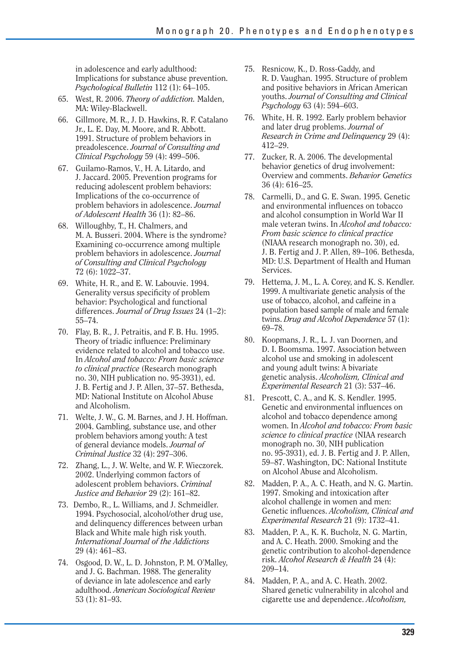in adolescence and early adulthood: Implications for substance abuse prevention. *Psychological Bulletin* 112 (1): 64–105.

- 65. West, R. 2006. *Theory of addiction.* Malden, MA: Wiley-Blackwell.
- 66. Gillmore, M. R., J. D. Hawkins, R. F. Catalano Jr., L. E. Day, M. Moore, and R. Abbott. 1991. Structure of problem behaviors in preadolescence. *Journal of Consulting and Clinical Psychology* 59 (4): 499–506.
- 67. Guilamo-Ramos, V., H. A. Litardo, and J. Jaccard. 2005. Prevention programs for reducing adolescent problem behaviors: Implications of the co-occurrence of problem behaviors in adolescence. *Journal of Adolescent Health* 36 (1): 82–86.
- 68. Willoughby, T., H. Chalmers, and M. A. Busseri. 2004. Where is the syndrome? Examining co-occurrence among multiple problem behaviors in adolescence. *Journal of Consulting and Clinical Psychology*  72 (6): 1022–37.
- 69. White, H. R., and E. W. Labouvie. 1994. Generality versus specificity of problem behavior: Psychological and functional differences. *Journal of Drug Issues* 24 (1–2): 55–74.
- 70. Flay, B. R., J. Petraitis, and F. B. Hu. 1995. Theory of triadic influence: Preliminary evidence related to alcohol and tobacco use. In *Alcohol and tobacco: From basic science to clinical practice* (Research monograph no. 30, NIH publication no. 95-3931), ed. J. B. Fertig and J. P. Allen, 37–57. Bethesda, MD: National Institute on Alcohol Abuse and Alcoholism.
- 71. Welte, J. W., G. M. Barnes, and J. H. Hoffman. 2004. Gambling, substance use, and other problem behaviors among youth: A test of general deviance models. *Journal of Criminal Justice* 32 (4): 297–306.
- 72. Zhang, L., J. W. Welte, and W. F. Wieczorek. 2002. Underlying common factors of adolescent problem behaviors. *Criminal Justice and Behavior* 29 (2): 161–82.
- 73. Dembo, R., L. Williams, and J. Schmeidler. 1994. Psychosocial, alcohol/other drug use, and delinquency differences between urban Black and White male high risk youth. *International Journal of the Addictions*  29 (4): 461–83.
- 74. Osgood, D. W., L. D. Johnston, P. M. O'Malley, and J. G. Bachman. 1988. The generality of deviance in late adolescence and early adulthood. *American Sociological Review*  53 (1): 81–93.
- 75. Resnicow, K., D. Ross-Gaddy, and R. D. Vaughan. 1995. Structure of problem and positive behaviors in African American youths. *Journal of Consulting and Clinical Psychology* 63 (4): 594–603.
- 76. White, H. R. 1992. Early problem behavior and later drug problems. *Journal of Research in Crime and Delinquency* 29 (4): 412–29.
- 77. Zucker, R. A. 2006. The developmental behavior genetics of drug involvement: Overview and comments. *Behavior Genetics*  36 (4): 616–25.
- 78. Carmelli, D., and G. E. Swan. 1995. Genetic and environmental influences on tobacco and alcohol consumption in World War II male veteran twins. In *Alcohol and tobacco: From basic science to clinical practice*  (NIAAA research monograph no. 30), ed. J. B. Fertig and J. P. Allen, 89–106. Bethesda, MD: U.S. Department of Health and Human Services.
- 79. Hettema, J. M., L. A. Corey, and K. S. Kendler. 1999. A multivariate genetic analysis of the use of tobacco, alcohol, and caffeine in a population based sample of male and female twins. *Drug and Alcohol Dependence* 57 (1): 69–78.
- 80. Koopmans, J. R., L. J. van Doornen, and D. I. Boomsma. 1997. Association between alcohol use and smoking in adolescent and young adult twins: A bivariate genetic analysis. *Alcoholism, Clinical and Experimental Research* 21 (3): 537–46.
- 81. Prescott, C. A., and K. S. Kendler. 1995. Genetic and environmental influences on alcohol and tobacco dependence among women. In *Alcohol and tobacco: From basic science to clinical practice* (NIAA research monograph no. 30, NIH publication no. 95-3931), ed. J. B. Fertig and J. P. Allen, 59–87. Washington, DC: National Institute on Alcohol Abuse and Alcoholism.
- 82. Madden, P. A., A. C. Heath, and N. G. Martin. 1997. Smoking and intoxication after alcohol challenge in women and men: Genetic influences. *Alcoholism, Clinical and Experimental Research* 21 (9): 1732–41.
- 83. Madden, P. A., K. K. Bucholz, N. G. Martin, and A. C. Heath. 2000. Smoking and the genetic contribution to alcohol-dependence risk. *Alcohol Research & Health* 24 (4): 209–14.
- 84. Madden, P. A., and A. C. Heath. 2002. Shared genetic vulnerability in alcohol and cigarette use and dependence. *Alcoholism,*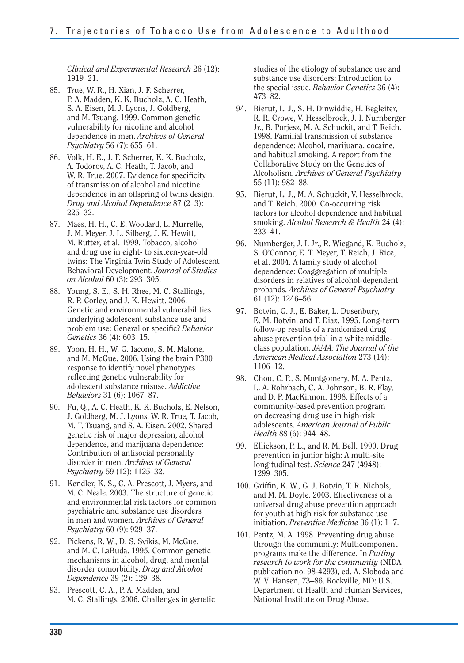*Clinical and Experimental Research* 26 (12): 1919–21.

- 85. True, W. R., H. Xian, J. F. Scherrer, P. A. Madden, K. K. Bucholz, A. C. Heath, S. A. Eisen, M. J. Lyons, J. Goldberg, and M. Tsuang. 1999. Common genetic vulnerability for nicotine and alcohol dependence in men. *Archives of General Psychiatry* 56 (7): 655–61.
- 86. Volk, H. E., J. F. Scherrer, K. K. Bucholz, A. Todorov, A. C. Heath, T. Jacob, and W. R. True. 2007. Evidence for specificity of transmission of alcohol and nicotine dependence in an offspring of twins design. *Drug and Alcohol Dependence* 87 (2–3): 225–32.
- 87. Maes, H. H., C. E. Woodard, L. Murrelle, J. M. Meyer, J. L. Silberg, J. K. Hewitt, M. Rutter, et al. 1999. Tobacco, alcohol and drug use in eight- to sixteen-year-old twins: The Virginia Twin Study of Adolescent Behavioral Development. *Journal of Studies on Alcohol* 60 (3): 293–305.
- 88. Young, S. E., S. H. Rhee, M. C. Stallings, R. P. Corley, and J. K. Hewitt. 2006. Genetic and environmental vulnerabilities underlying adolescent substance use and problem use: General or specific? *Behavior Genetics* 36 (4): 603–15.
- 89. Yoon, H. H., W. G. Iacono, S. M. Malone, and M. McGue. 2006. Using the brain P300 response to identify novel phenotypes reflecting genetic vulnerability for adolescent substance misuse. *Addictive Behaviors* 31 (6): 1067–87.
- 90. Fu, Q., A. C. Heath, K. K. Bucholz, E. Nelson, J. Goldberg, M. J. Lyons, W. R. True, T. Jacob, M. T. Tsuang, and S. A. Eisen. 2002. Shared genetic risk of major depression, alcohol dependence, and marijuana dependence: Contribution of antisocial personality disorder in men. *Archives of General Psychiatry* 59 (12): 1125–32.
- 91. Kendler, K. S., C. A. Prescott, J. Myers, and M. C. Neale. 2003. The structure of genetic and environmental risk factors for common psychiatric and substance use disorders in men and women. *Archives of General Psychiatry* 60 (9): 929–37.
- 92. Pickens, R. W., D. S. Svikis, M. McGue, and M. C. LaBuda. 1995. Common genetic mechanisms in alcohol, drug, and mental disorder comorbidity. *Drug and Alcohol Dependence* 39 (2): 129–38.
- 93. Prescott, C. A., P. A. Madden, and M. C. Stallings. 2006. Challenges in genetic

studies of the etiology of substance use and substance use disorders: Introduction to the special issue. *Behavior Genetics* 36 (4): 473–82.

- 94. Bierut, L. J., S. H. Dinwiddie, H. Begleiter, R. R. Crowe, V. Hesselbrock, J. I. Nurnberger Jr., B. Porjesz, M. A. Schuckit, and T. Reich. 1998. Familial transmission of substance dependence: Alcohol, marijuana, cocaine, and habitual smoking. A report from the Collaborative Study on the Genetics of Alcoholism. *Archives of General Psychiatry*  55 (11): 982–88.
- 95. Bierut, L. J., M. A. Schuckit, V. Hesselbrock, and T. Reich. 2000. Co-occurring risk factors for alcohol dependence and habitual smoking. *Alcohol Research & Health* 24 (4): 233–41.
- 96. Nurnberger, J. I. Jr., R. Wiegand, K. Bucholz, S. O'Connor, E. T. Meyer, T. Reich, J. Rice, et al. 2004. A family study of alcohol dependence: Coaggregation of multiple disorders in relatives of alcohol-dependent probands. *Archives of General Psychiatry*  61 (12): 1246–56.
- 97. Botvin, G. J., E. Baker, L. Dusenbury, E. M. Botvin, and T. Diaz. 1995. Long-term follow-up results of a randomized drug abuse prevention trial in a white middleclass population. *JAMA: The Journal of the American Medical Association* 273 (14): 1106–12.
- 98. Chou, C. P., S. Montgomery, M. A. Pentz, L. A. Rohrbach, C. A. Johnson, B. R. Flay, and D. P. MacKinnon. 1998. Effects of a community-based prevention program on decreasing drug use in high-risk adolescents. *American Journal of Public Health* 88 (6): 944–48.
- 99. Ellickson, P. L., and R. M. Bell. 1990. Drug prevention in junior high: A multi-site longitudinal test. *Science* 247 (4948): 1299–305.
- 100. Griffin, K. W., G. J. Botvin, T. R. Nichols, and M. M. Doyle. 2003. Effectiveness of a universal drug abuse prevention approach for youth at high risk for substance use initiation. *Preventive Medicine* 36 (1): 1–7.
- 101. Pentz, M. A. 1998. Preventing drug abuse through the community: Multicomponent programs make the difference. In *Putting research to work for the community* (NIDA publication no. 98-4293), ed. A. Sloboda and W. V. Hansen, 73–86. Rockville, MD: U.S. Department of Health and Human Services, National Institute on Drug Abuse.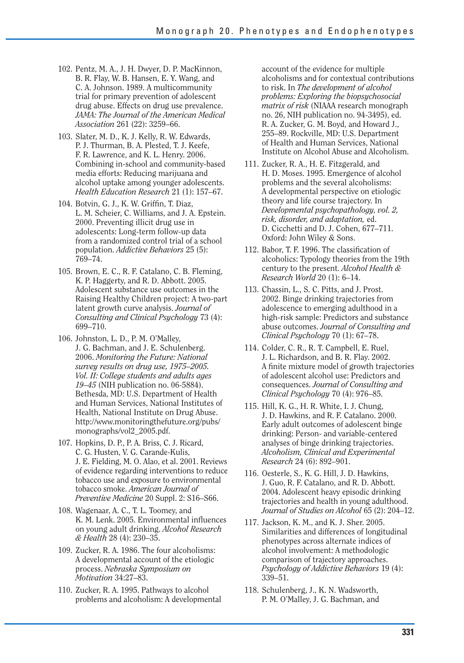- 102. Pentz, M. A., J. H. Dwyer, D. P. MacKinnon, B. R. Flay, W. B. Hansen, E. Y. Wang, and C. A. Johnson. 1989. A multicommunity trial for primary prevention of adolescent drug abuse. Effects on drug use prevalence. *JAMA: The Journal of the American Medical Association* 261 (22): 3259–66.
- 103. Slater, M. D., K. J. Kelly, R. W. Edwards, P. J. Thurman, B. A. Plested, T. J. Keefe, F. R. Lawrence, and K. L. Henry. 2006. Combining in-school and community-based media efforts: Reducing marijuana and alcohol uptake among younger adolescents. *Health Education Research* 21 (1): 157–67.
- 104. Botvin, G. J., K. W. Griffin, T. Diaz, L. M. Scheier, C. Williams, and J. A. Epstein. 2000. Preventing illicit drug use in adolescents: Long-term follow-up data from a randomized control trial of a school population. *Addictive Behaviors* 25 (5): 769–74.
- 105. Brown, E. C., R. F. Catalano, C. B. Fleming, K. P. Haggerty, and R. D. Abbott. 2005. Adolescent substance use outcomes in the Raising Healthy Children project: A two-part latent growth curve analysis. *Journal of Consulting and Clinical Psychology* 73 (4): 699–710.
- 106. Johnston, L. D., P. M. O'Malley, J. G. Bachman, and J. E. Schulenberg. 2006. *Monitoring the Future: National survey results on drug use, 1975–2005. Vol. II: College students and adults ages 19–45* (NIH publication no. 06-5884). Bethesda, MD: U.S. Department of Health and Human Services, National Institutes of Health, National Institute on Drug Abuse. http://www.monitoringthefuture.org/pubs/ monographs/vol2\_2005.pdf.
- 107. Hopkins, D. P., P. A. Briss, C. J. Ricard, C. G. Husten, V. G. Carande-Kulis, J. E. Fielding, M. O. Alao, et al. 2001. Reviews of evidence regarding interventions to reduce tobacco use and exposure to environmental tobacco smoke. *American Journal of Preventive Medicine* 20 Suppl. 2: S16–S66.
- 108. Wagenaar, A. C., T. L. Toomey, and K. M. Lenk. 2005. Environmental influences on young adult drinking. *Alcohol Research & Health* 28 (4): 230–35.
- 109. Zucker, R. A. 1986. The four alcoholisms: A developmental account of the etiologic process. *Nebraska Symposium on Motivation* 34:27–83.
- 110. Zucker, R. A. 1995. Pathways to alcohol problems and alcoholism: A developmental

account of the evidence for multiple alcoholisms and for contextual contributions to risk. In *The development of alcohol problems: Exploring the biopsychosocial matrix of risk* (NIAAA research monograph no. 26, NIH publication no. 94-3495), ed. R. A. Zucker, G. M. Boyd, and Howard J., 255–89. Rockville, MD: U.S. Department of Health and Human Services, National Institute on Alcohol Abuse and Alcoholism.

- 111. Zucker, R. A., H. E. Fitzgerald, and H. D. Moses. 1995. Emergence of alcohol problems and the several alcoholisms: A developmental perspective on etiologic theory and life course trajectory. In *Developmental psychopathology, vol. 2, risk, disorder, and adaptation,* ed. D. Cicchetti and D. J. Cohen, 677–711. Oxford: John Wiley & Sons.
- 112. Babor, T. F. 1996. The classification of alcoholics: Typology theories from the 19th century to the present. *Alcohol Health & Research World* 20 (1): 6–14.
- 113. Chassin, L., S. C. Pitts, and J. Prost. 2002. Binge drinking trajectories from adolescence to emerging adulthood in a high-risk sample: Predictors and substance abuse outcomes. *Journal of Consulting and Clinical Psychology* 70 (1): 67–78.
- 114. Colder, C. R., R. T. Campbell, E. Ruel, J. L. Richardson, and B. R. Flay. 2002. A finite mixture model of growth trajectories of adolescent alcohol use: Predictors and consequences. *Journal of Consulting and Clinical Psychology* 70 (4): 976–85.
- 115. Hill, K. G., H. R. White, I. J. Chung, J. D. Hawkins, and R. F. Catalano. 2000. Early adult outcomes of adolescent binge drinking: Person- and variable-centered analyses of binge drinking trajectories. *Alcoholism, Clinical and Experimental Research* 24 (6): 892–901.
- 116. Oesterle, S., K. G. Hill, J. D. Hawkins, J. Guo, R. F. Catalano, and R. D. Abbott. 2004. Adolescent heavy episodic drinking trajectories and health in young adulthood. *Journal of Studies on Alcohol* 65 (2): 204–12.
- 117. Jackson, K. M., and K. J. Sher. 2005. Similarities and differences of longitudinal phenotypes across alternate indices of alcohol involvement: A methodologic comparison of trajectory approaches. *Psychology of Addictive Behaviors* 19 (4): 339–51.
- 118. Schulenberg, J., K. N. Wadsworth, P. M. O'Malley, J. G. Bachman, and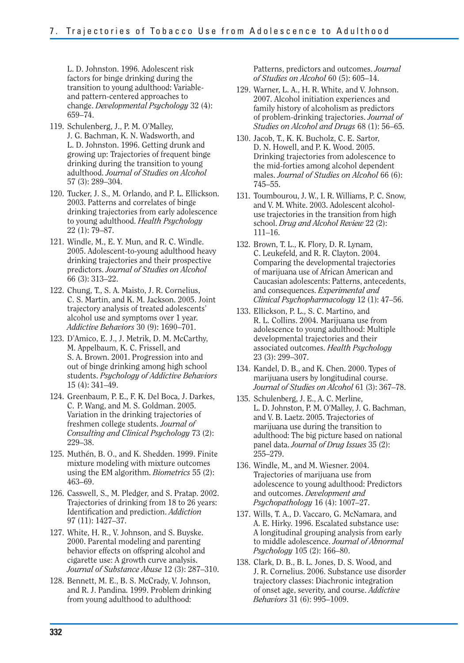L. D. Johnston. 1996. Adolescent risk factors for binge drinking during the transition to young adulthood: Variableand pattern-centered approaches to change. *Developmental Psychology* 32 (4): 659–74.

- 119. Schulenberg, J., P. M. O'Malley, J. G. Bachman, K. N. Wadsworth, and L. D. Johnston. 1996. Getting drunk and growing up: Trajectories of frequent binge drinking during the transition to young adulthood. *Journal of Studies on Alcohol*  57 (3): 289–304.
- 120. Tucker, J. S., M. Orlando, and P. L. Ellickson. 2003. Patterns and correlates of binge drinking trajectories from early adolescence to young adulthood. *Health Psychology*  22 (1): 79–87.
- 121. Windle, M., E. Y. Mun, and R. C. Windle. 2005. Adolescent-to-young adulthood heavy drinking trajectories and their prospective predictors. *Journal of Studies on Alcohol*  66 (3): 313–22.
- 122. Chung, T., S. A. Maisto, J. R. Cornelius, C. S. Martin, and K. M. Jackson. 2005. Joint trajectory analysis of treated adolescents' alcohol use and symptoms over 1 year. *Addictive Behaviors* 30 (9): 1690–701.
- 123. D'Amico, E. J., J. Metrik, D. M. McCarthy, M. Appelbaum, K. C. Frissell, and S. A. Brown. 2001. Progression into and out of binge drinking among high school students. *Psychology of Addictive Behaviors*  15 (4): 341–49.
- 124. Greenbaum, P. E., F. K. Del Boca, J. Darkes, C. P. Wang, and M. S. Goldman. 2005. Variation in the drinking trajectories of freshmen college students. *Journal of Consulting and Clinical Psychology* 73 (2): 229–38.
- 125. Muthén, B. O., and K. Shedden. 1999. Finite mixture modeling with mixture outcomes using the EM algorithm. *Biometrics* 55 (2): 463–69.
- 126. Casswell, S., M. Pledger, and S. Pratap. 2002. Trajectories of drinking from 18 to 26 years: Identification and prediction. *Addiction*  97 (11): 1427–37.
- 127. White, H. R., V. Johnson, and S. Buyske. 2000. Parental modeling and parenting behavior effects on offspring alcohol and cigarette use: A growth curve analysis. *Journal of Substance Abuse* 12 (3): 287–310.
- 128. Bennett, M. E., B. S. McCrady, V. Johnson, and R. J. Pandina. 1999. Problem drinking from young adulthood to adulthood:

Patterns, predictors and outcomes. *Journal of Studies on Alcohol* 60 (5): 605–14.

- 129. Warner, L. A., H. R. White, and V. Johnson. 2007. Alcohol initiation experiences and family history of alcoholism as predictors of problem-drinking trajectories. *Journal of Studies on Alcohol and Drugs* 68 (1): 56–65.
- 130. Jacob, T., K. K. Bucholz, C. E. Sartor, D. N. Howell, and P. K. Wood. 2005. Drinking trajectories from adolescence to the mid-forties among alcohol dependent males. *Journal of Studies on Alcohol* 66 (6): 745–55.
- 131. Toumbourou, J. W., I. R. Williams, P. C. Snow, and V. M. White. 2003. Adolescent alcoholuse trajectories in the transition from high school. *Drug and Alcohol Review* 22 (2): 111–16.
- 132. Brown, T. L., K. Flory, D. R. Lynam, C. Leukefeld, and R. R. Clayton. 2004. Comparing the developmental trajectories of marijuana use of African American and Caucasian adolescents: Patterns, antecedents, and consequences. *Experimental and Clinical Psychopharmacology* 12 (1): 47–56.
- 133. Ellickson, P. L., S. C. Martino, and R. L. Collins. 2004. Marijuana use from adolescence to young adulthood: Multiple developmental trajectories and their associated outcomes. *Health Psychology*  23 (3): 299–307.
- 134. Kandel, D. B., and K. Chen. 2000. Types of marijuana users by longitudinal course. *Journal of Studies on Alcohol* 61 (3): 367–78.
- 135. Schulenberg, J. E., A. C. Merline, L. D. Johnston, P. M. O'Malley, J. G. Bachman, and V. B. Laetz. 2005. Trajectories of marijuana use during the transition to adulthood: The big picture based on national panel data. *Journal of Drug Issues* 35 (2): 255–279.
- 136. Windle, M., and M. Wiesner. 2004. Trajectories of marijuana use from adolescence to young adulthood: Predictors and outcomes. *Development and Psychopathology* 16 (4): 1007–27.
- 137. Wills, T. A., D. Vaccaro, G. McNamara, and A. E. Hirky. 1996. Escalated substance use: A longitudinal grouping analysis from early to middle adolescence. *Journal of Abnormal Psychology* 105 (2): 166–80.
- 138. Clark, D. B., B. L. Jones, D. S. Wood, and J. R. Cornelius. 2006. Substance use disorder trajectory classes: Diachronic integration of onset age, severity, and course. *Addictive Behaviors* 31 (6): 995–1009.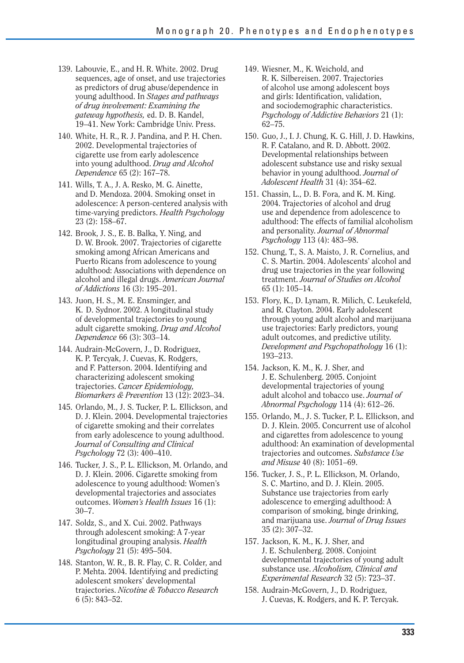- 139. Labouvie, E., and H. R. White. 2002. Drug sequences, age of onset, and use trajectories as predictors of drug abuse/dependence in young adulthood. In *Stages and pathways of drug involvement: Examining the gateway hypothesis,* ed. D. B. Kandel, 19–41. New York: Cambridge Univ. Press.
- 140. White, H. R., R. J. Pandina, and P. H. Chen. 2002. Developmental trajectories of cigarette use from early adolescence into young adulthood. *Drug and Alcohol Dependence* 65 (2): 167–78.
- 141. Wills, T. A., J. A. Resko, M. G. Ainette, and D. Mendoza. 2004. Smoking onset in adolescence: A person-centered analysis with time-varying predictors. *Health Psychology*  23 (2): 158–67.
- 142. Brook, J. S., E. B. Balka, Y. Ning, and D. W. Brook. 2007. Trajectories of cigarette smoking among African Americans and Puerto Ricans from adolescence to young adulthood: Associations with dependence on alcohol and illegal drugs. *American Journal of Addictions* 16 (3): 195–201.
- 143. Juon, H. S., M. E. Ensminger, and K. D. Sydnor. 2002. A longitudinal study of developmental trajectories to young adult cigarette smoking. *Drug and Alcohol Dependence* 66 (3): 303–14.
- 144. Audrain-McGovern, J., D. Rodriguez, K. P. Tercyak, J. Cuevas, K. Rodgers, and F. Patterson. 2004. Identifying and characterizing adolescent smoking trajectories. *Cancer Epidemiology, Biomarkers & Prevention* 13 (12): 2023–34.
- 145. Orlando, M., J. S. Tucker, P. L. Ellickson, and D. J. Klein. 2004. Developmental trajectories of cigarette smoking and their correlates from early adolescence to young adulthood. *Journal of Consulting and Clinical Psychology* 72 (3): 400–410.
- 146. Tucker, J. S., P. L. Ellickson, M. Orlando, and D. J. Klein. 2006. Cigarette smoking from adolescence to young adulthood: Women's developmental trajectories and associates outcomes. *Women's Health Issues* 16 (1): 30–7.
- 147. Soldz, S., and X. Cui. 2002. Pathways through adolescent smoking: A 7-year longitudinal grouping analysis. *Health Psychology* 21 (5): 495–504.
- 148. Stanton, W. R., B. R. Flay, C. R. Colder, and P. Mehta. 2004. Identifying and predicting adolescent smokers' developmental trajectories. *Nicotine & Tobacco Research*  6 (5): 843–52.
- 149. Wiesner, M., K. Weichold, and R. K. Silbereisen. 2007. Trajectories of alcohol use among adolescent boys and girls: Identification, validation, and sociodemographic characteristics. *Psychology of Addictive Behaviors* 21 (1): 62–75.
- 150. Guo, J., I. J. Chung, K. G. Hill, J. D. Hawkins, R. F. Catalano, and R. D. Abbott. 2002. Developmental relationships between adolescent substance use and risky sexual behavior in young adulthood. *Journal of Adolescent Health* 31 (4): 354–62.
- 151. Chassin, L., D. B. Fora, and K. M. King. 2004. Trajectories of alcohol and drug use and dependence from adolescence to adulthood: The effects of familial alcoholism and personality. *Journal of Abnormal Psychology* 113 (4): 483–98.
- 152. Chung, T., S. A. Maisto, J. R. Cornelius, and C. S. Martin. 2004. Adolescents' alcohol and drug use trajectories in the year following treatment. *Journal of Studies on Alcohol*  65 (1): 105–14.
- 153. Flory, K., D. Lynam, R. Milich, C. Leukefeld, and R. Clayton. 2004. Early adolescent through young adult alcohol and marijuana use trajectories: Early predictors, young adult outcomes, and predictive utility. *Development and Psychopathology* 16 (1): 193–213.
- 154. Jackson, K. M., K. J. Sher, and J. E. Schulenberg. 2005. Conjoint developmental trajectories of young adult alcohol and tobacco use. *Journal of Abnormal Psychology* 114 (4): 612–26.
- 155. Orlando, M., J. S. Tucker, P. L. Ellickson, and D. J. Klein. 2005. Concurrent use of alcohol and cigarettes from adolescence to young adulthood: An examination of developmental trajectories and outcomes. *Substance Use and Misuse* 40 (8): 1051–69.
- 156. Tucker, J. S., P. L. Ellickson, M. Orlando, S. C. Martino, and D. J. Klein. 2005. Substance use trajectories from early adolescence to emerging adulthood: A comparison of smoking, binge drinking, and marijuana use. *Journal of Drug Issues*  35 (2): 307–32.
- 157. Jackson, K. M., K. J. Sher, and J. E. Schulenberg. 2008. Conjoint developmental trajectories of young adult substance use. *Alcoholism, Clinical and Experimental Research* 32 (5): 723–37.
- 158. Audrain-McGovern, J., D. Rodriguez, J. Cuevas, K. Rodgers, and K. P. Tercyak.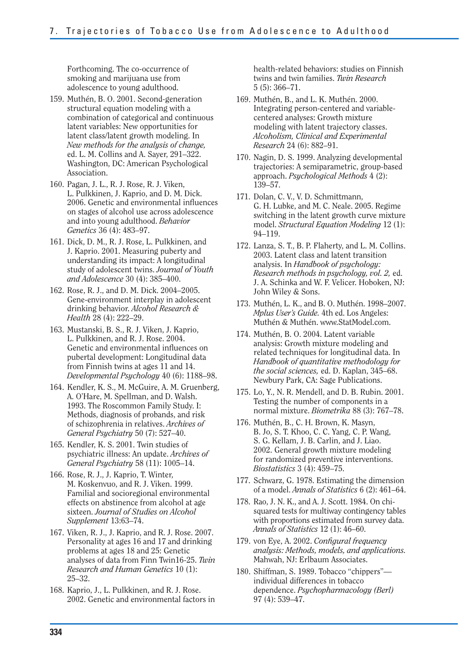Forthcoming. The co-occurrence of smoking and marijuana use from adolescence to young adulthood.

- 159. Muthén, B. O. 2001. Second-generation structural equation modeling with a combination of categorical and continuous latent variables: New opportunities for latent class/latent growth modeling. In *New methods for the analysis of change,*  ed. L. M. Collins and A. Sayer, 291–322. Washington, DC: American Psychological Association.
- 160. Pagan, J. L., R. J. Rose, R. J. Viken, L. Pulkkinen, J. Kaprio, and D. M. Dick. 2006. Genetic and environmental influences on stages of alcohol use across adolescence and into young adulthood. *Behavior Genetics* 36 (4): 483–97.
- 161. Dick, D. M., R. J. Rose, L. Pulkkinen, and J. Kaprio. 2001. Measuring puberty and understanding its impact: A longitudinal study of adolescent twins. *Journal of Youth and Adolescence* 30 (4): 385–400.
- 162. Rose, R. J., and D. M. Dick. 2004–2005. Gene-environment interplay in adolescent drinking behavior. *Alcohol Research & Health* 28 (4): 222–29.
- 163. Mustanski, B. S., R. J. Viken, J. Kaprio, L. Pulkkinen, and R. J. Rose. 2004. Genetic and environmental influences on pubertal development: Longitudinal data from Finnish twins at ages 11 and 14. *Developmental Psychology* 40 (6): 1188–98.
- 164. Kendler, K. S., M. McGuire, A. M. Gruenberg, A. O'Hare, M. Spellman, and D. Walsh. 1993. The Roscommon Family Study. I: Methods, diagnosis of probands, and risk of schizophrenia in relatives. *Archives of General Psychiatry* 50 (7): 527–40.
- 165. Kendler, K. S. 2001. Twin studies of psychiatric illness: An update. *Archives of General Psychiatry* 58 (11): 1005–14.
- 166. Rose, R. J., J. Kaprio, T. Winter, M. Koskenvuo, and R. J. Viken. 1999. Familial and socioregional environmental effects on abstinence from alcohol at age sixteen. *Journal of Studies on Alcohol Supplement* 13:63–74.
- 167. Viken, R. J., J. Kaprio, and R. J. Rose. 2007. Personality at ages 16 and 17 and drinking problems at ages 18 and 25: Genetic analyses of data from Finn Twin16-25. *Twin Research and Human Genetics* 10 (1): 25–32.
- 168. Kaprio, J., L. Pulkkinen, and R. J. Rose. 2002. Genetic and environmental factors in

health-related behaviors: studies on Finnish twins and twin families. *Twin Research*  5 (5): 366–71.

- 169. Muthén, B., and L. K. Muthén. 2000. Integrating person-centered and variablecentered analyses: Growth mixture modeling with latent trajectory classes. *Alcoholism, Clinical and Experimental Research* 24 (6): 882–91.
- 170. Nagin, D. S. 1999. Analyzing developmental trajectories: A semiparametric, group-based approach. *Psychological Methods* 4 (2): 139–57.
- 171. Dolan, C. V., V. D. Schmittmann, G. H. Lubke, and M. C. Neale. 2005. Regime switching in the latent growth curve mixture model. *Structural Equation Modeling* 12 (1): 94–119.
- 172. Lanza, S. T., B. P. Flaherty, and L. M. Collins. 2003. Latent class and latent transition analysis. In *Handbook of psychology: Research methods in psychology, vol. 2,* ed. J. A. Schinka and W. F. Velicer. Hoboken, NJ: John Wiley & Sons.
- 173. Muthén, L. K., and B. O. Muthén. 1998–2007. *Mplus User's Guide.* 4th ed. Los Angeles: Muthén & Muthén. www.StatModel.com.
- 174. Muthén, B. O. 2004. Latent variable analysis: Growth mixture modeling and related techniques for longitudinal data. In *Handbook of quantitative methodology for the social sciences,* ed. D. Kaplan, 345–68. Newbury Park, CA: Sage Publications.
- 175. Lo, Y., N. R. Mendell, and D. B. Rubin. 2001. Testing the number of components in a normal mixture. *Biometrika* 88 (3): 767–78.
- 176. Muthén, B., C. H. Brown, K. Masyn, B. Jo, S. T. Khoo, C. C. Yang, C. P. Wang, S. G. Kellam, J. B. Carlin, and J. Liao. 2002. General growth mixture modeling for randomized preventive interventions. *Biostatistics* 3 (4): 459–75.
- 177. Schwarz, G. 1978. Estimating the dimension of a model. *Annals of Statistics* 6 (2): 461–64.
- 178. Rao, J. N. K., and A. J. Scott. 1984. On chisquared tests for multiway contingency tables with proportions estimated from survey data. *Annals of Statistics* 12 (1): 46–60.
- 179. von Eye, A. 2002. *Configural frequencu analysis: Methods, models, and applications.*  Mahwah, NJ: Erlbaum Associates.
- 180. Shiffman, S. 1989. Tobacco "chippers" individual differences in tobacco dependence. *Psychopharmacology (Berl)*  97 (4): 539–47.